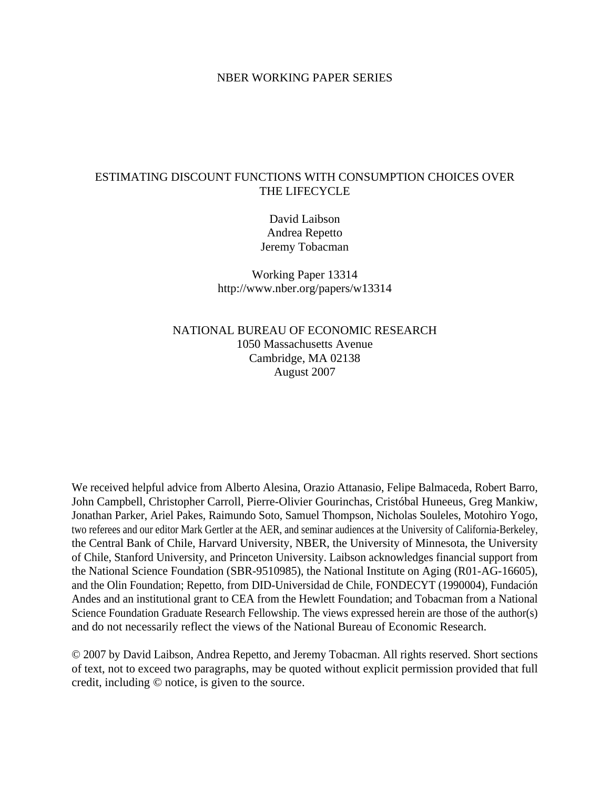#### NBER WORKING PAPER SERIES

### ESTIMATING DISCOUNT FUNCTIONS WITH CONSUMPTION CHOICES OVER THE LIFECYCLE

David Laibson Andrea Repetto Jeremy Tobacman

Working Paper 13314 http://www.nber.org/papers/w13314

NATIONAL BUREAU OF ECONOMIC RESEARCH 1050 Massachusetts Avenue Cambridge, MA 02138 August 2007

We received helpful advice from Alberto Alesina, Orazio Attanasio, Felipe Balmaceda, Robert Barro, John Campbell, Christopher Carroll, Pierre-Olivier Gourinchas, Cristóbal Huneeus, Greg Mankiw, Jonathan Parker, Ariel Pakes, Raimundo Soto, Samuel Thompson, Nicholas Souleles, Motohiro Yogo, two referees and our editor Mark Gertler at the AER, and seminar audiences at the University of California-Berkeley, the Central Bank of Chile, Harvard University, NBER, the University of Minnesota, the University of Chile, Stanford University, and Princeton University. Laibson acknowledges financial support from the National Science Foundation (SBR-9510985), the National Institute on Aging (R01-AG-16605), and the Olin Foundation; Repetto, from DID-Universidad de Chile, FONDECYT (1990004), Fundación Andes and an institutional grant to CEA from the Hewlett Foundation; and Tobacman from a National Science Foundation Graduate Research Fellowship. The views expressed herein are those of the author(s) and do not necessarily reflect the views of the National Bureau of Economic Research.

© 2007 by David Laibson, Andrea Repetto, and Jeremy Tobacman. All rights reserved. Short sections of text, not to exceed two paragraphs, may be quoted without explicit permission provided that full credit, including © notice, is given to the source.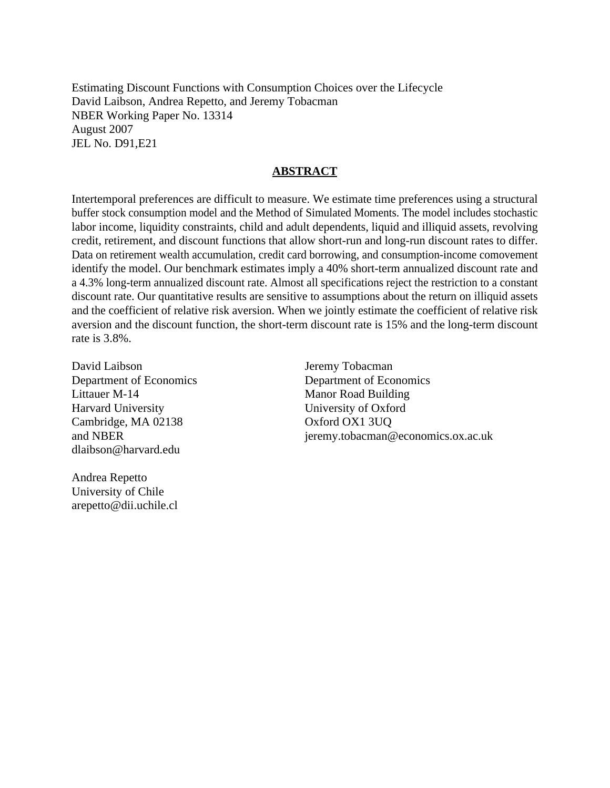Estimating Discount Functions with Consumption Choices over the Lifecycle David Laibson, Andrea Repetto, and Jeremy Tobacman NBER Working Paper No. 13314 August 2007 JEL No. D91,E21

#### **ABSTRACT**

Intertemporal preferences are difficult to measure. We estimate time preferences using a structural buffer stock consumption model and the Method of Simulated Moments. The model includes stochastic labor income, liquidity constraints, child and adult dependents, liquid and illiquid assets, revolving credit, retirement, and discount functions that allow short-run and long-run discount rates to differ. Data on retirement wealth accumulation, credit card borrowing, and consumption-income comovement identify the model. Our benchmark estimates imply a 40% short-term annualized discount rate and a 4.3% long-term annualized discount rate. Almost all specifications reject the restriction to a constant discount rate. Our quantitative results are sensitive to assumptions about the return on illiquid assets and the coefficient of relative risk aversion. When we jointly estimate the coefficient of relative risk aversion and the discount function, the short-term discount rate is 15% and the long-term discount rate is 3.8%.

David Laibson Department of Economics Littauer M-14 Harvard University Cambridge, MA 02138 and NBER dlaibson@harvard.edu

Jeremy Tobacman Department of Economics Manor Road Building University of Oxford Oxford OX1 3UQ jeremy.tobacman@economics.ox.ac.uk

Andrea Repetto University of Chile arepetto@dii.uchile.cl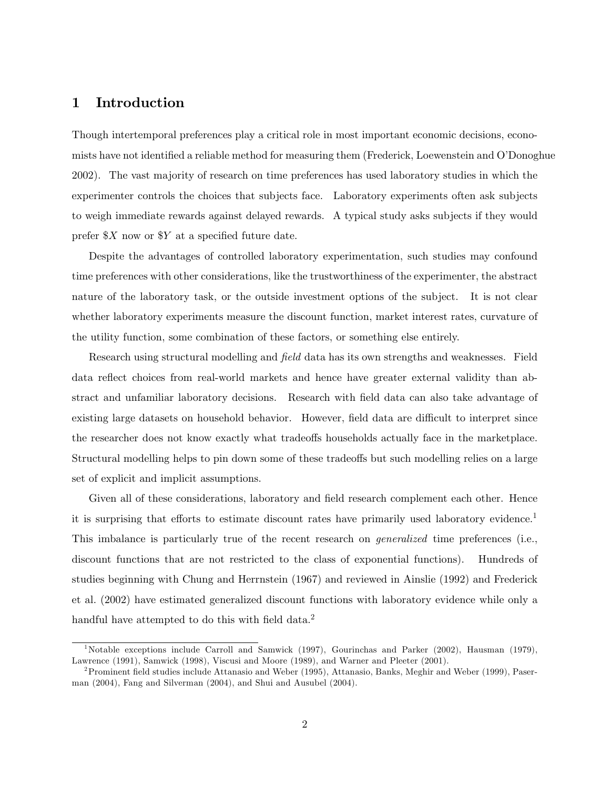### 1 Introduction

Though intertemporal preferences play a critical role in most important economic decisions, economists have not identified a reliable method for measuring them (Frederick, Loewenstein and O'Donoghue 2002). The vast majority of research on time preferences has used laboratory studies in which the experimenter controls the choices that subjects face. Laboratory experiments often ask subjects to weigh immediate rewards against delayed rewards. A typical study asks subjects if they would prefer  $X$  now or  $Y$  at a specified future date.

Despite the advantages of controlled laboratory experimentation, such studies may confound time preferences with other considerations, like the trustworthiness of the experimenter, the abstract nature of the laboratory task, or the outside investment options of the subject. It is not clear whether laboratory experiments measure the discount function, market interest rates, curvature of the utility function, some combination of these factors, or something else entirely.

Research using structural modelling and *field* data has its own strengths and weaknesses. Field data reflect choices from real-world markets and hence have greater external validity than abstract and unfamiliar laboratory decisions. Research with field data can also take advantage of existing large datasets on household behavior. However, field data are difficult to interpret since the researcher does not know exactly what tradeoffs households actually face in the marketplace. Structural modelling helps to pin down some of these tradeoffs but such modelling relies on a large set of explicit and implicit assumptions.

Given all of these considerations, laboratory and field research complement each other. Hence it is surprising that efforts to estimate discount rates have primarily used laboratory evidence.<sup>1</sup> This imbalance is particularly true of the recent research on *generalized* time preferences (i.e., discount functions that are not restricted to the class of exponential functions). Hundreds of studies beginning with Chung and Herrnstein (1967) and reviewed in Ainslie (1992) and Frederick et al. (2002) have estimated generalized discount functions with laboratory evidence while only a handful have attempted to do this with field data. $^2$ 

<sup>&</sup>lt;sup>1</sup>Notable exceptions include Carroll and Samwick (1997), Gourinchas and Parker (2002), Hausman (1979), Lawrence (1991), Samwick (1998), Viscusi and Moore (1989), and Warner and Pleeter (2001).

<sup>&</sup>lt;sup>2</sup> Prominent field studies include Attanasio and Weber (1995), Attanasio, Banks, Meghir and Weber (1999), Paserman (2004), Fang and Silverman (2004), and Shui and Ausubel (2004).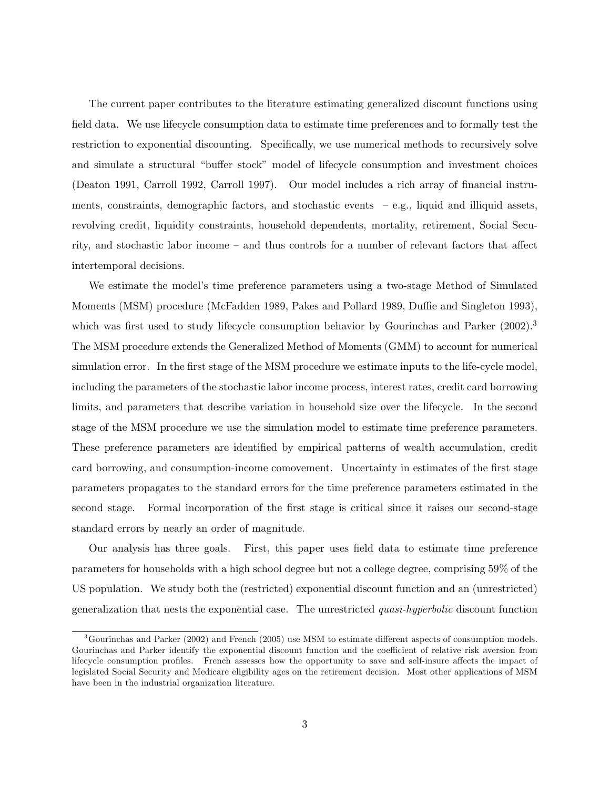The current paper contributes to the literature estimating generalized discount functions using field data. We use lifecycle consumption data to estimate time preferences and to formally test the restriction to exponential discounting. Specifically, we use numerical methods to recursively solve and simulate a structural "buffer stock" model of lifecycle consumption and investment choices (Deaton 1991, Carroll 1992, Carroll 1997). Our model includes a rich array of nancial instruments, constraints, demographic factors, and stochastic events  $-e.g.,$  liquid and illiquid assets, revolving credit, liquidity constraints, household dependents, mortality, retirement, Social Security, and stochastic labor income – and thus controls for a number of relevant factors that affect intertemporal decisions.

We estimate the model's time preference parameters using a two-stage Method of Simulated Moments (MSM) procedure (McFadden 1989, Pakes and Pollard 1989, Duffie and Singleton 1993), which was first used to study lifecycle consumption behavior by Gourinchas and Parker  $(2002)^3$ The MSM procedure extends the Generalized Method of Moments (GMM) to account for numerical simulation error. In the first stage of the MSM procedure we estimate inputs to the life-cycle model, including the parameters of the stochastic labor income process, interest rates, credit card borrowing limits, and parameters that describe variation in household size over the lifecycle. In the second stage of the MSM procedure we use the simulation model to estimate time preference parameters. These preference parameters are identified by empirical patterns of wealth accumulation, credit card borrowing, and consumption-income comovement. Uncertainty in estimates of the first stage parameters propagates to the standard errors for the time preference parameters estimated in the second stage. Formal incorporation of the first stage is critical since it raises our second-stage standard errors by nearly an order of magnitude.

Our analysis has three goals. First, this paper uses field data to estimate time preference parameters for households with a high school degree but not a college degree, comprising 59% of the US population. We study both the (restricted) exponential discount function and an (unrestricted) generalization that nests the exponential case. The unrestricted quasi-hyperbolic discount function

 $3$ Gourinchas and Parker (2002) and French (2005) use MSM to estimate different aspects of consumption models. Gourinchas and Parker identify the exponential discount function and the coefficient of relative risk aversion from lifecycle consumption profiles. French assesses how the opportunity to save and self-insure affects the impact of legislated Social Security and Medicare eligibility ages on the retirement decision. Most other applications of MSM have been in the industrial organization literature.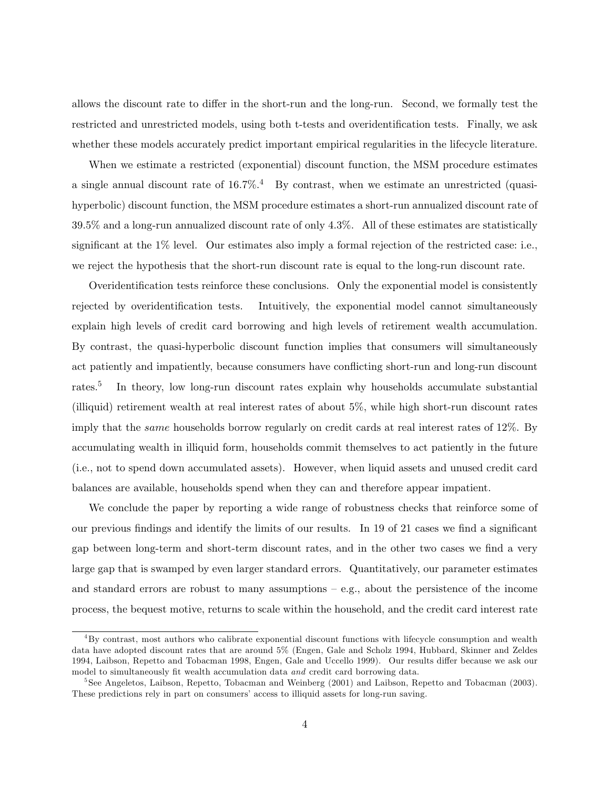allows the discount rate to differ in the short-run and the long-run. Second, we formally test the restricted and unrestricted models, using both t-tests and overidentification tests. Finally, we ask whether these models accurately predict important empirical regularities in the lifecycle literature.

When we estimate a restricted (exponential) discount function, the MSM procedure estimates a single annual discount rate of  $16.7\%$ <sup>4</sup> By contrast, when we estimate an unrestricted (quasihyperbolic) discount function, the MSM procedure estimates a short-run annualized discount rate of 39.5% and a long-run annualized discount rate of only 4.3%. All of these estimates are statistically significant at the 1% level. Our estimates also imply a formal rejection of the restricted case: i.e., we reject the hypothesis that the short-run discount rate is equal to the long-run discount rate.

Overidentification tests reinforce these conclusions. Only the exponential model is consistently rejected by overidentification tests. Intuitively, the exponential model cannot simultaneously explain high levels of credit card borrowing and high levels of retirement wealth accumulation. By contrast, the quasi-hyperbolic discount function implies that consumers will simultaneously act patiently and impatiently, because consumers have conflicting short-run and long-run discount rates.<sup>5</sup> In theory, low long-run discount rates explain why households accumulate substantial (illiquid) retirement wealth at real interest rates of about 5%, while high short-run discount rates imply that the *same* households borrow regularly on credit cards at real interest rates of 12%. By accumulating wealth in illiquid form, households commit themselves to act patiently in the future (i.e., not to spend down accumulated assets). However, when liquid assets and unused credit card balances are available, households spend when they can and therefore appear impatient.

We conclude the paper by reporting a wide range of robustness checks that reinforce some of our previous findings and identify the limits of our results. In 19 of 21 cases we find a significant gap between long-term and short-term discount rates, and in the other two cases we find a very large gap that is swamped by even larger standard errors. Quantitatively, our parameter estimates and standard errors are robust to many assumptions  $-e.g.,$  about the persistence of the income process, the bequest motive, returns to scale within the household, and the credit card interest rate

<sup>4</sup>By contrast, most authors who calibrate exponential discount functions with lifecycle consumption and wealth data have adopted discount rates that are around 5% (Engen, Gale and Scholz 1994, Hubbard, Skinner and Zeldes 1994, Laibson, Repetto and Tobacman 1998, Engen, Gale and Uccello 1999). Our results differ because we ask our model to simultaneously fit wealth accumulation data and credit card borrowing data.

<sup>&</sup>lt;sup>5</sup>See Angeletos, Laibson, Repetto, Tobacman and Weinberg (2001) and Laibson, Repetto and Tobacman (2003). These predictions rely in part on consumers' access to illiquid assets for long-run saving.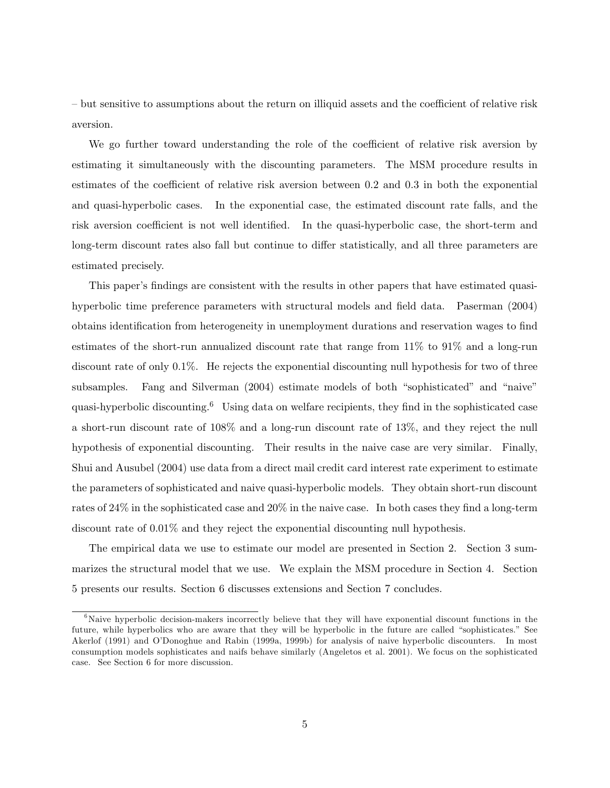- but sensitive to assumptions about the return on illiquid assets and the coefficient of relative risk aversion.

We go further toward understanding the role of the coefficient of relative risk aversion by estimating it simultaneously with the discounting parameters. The MSM procedure results in estimates of the coefficient of relative risk aversion between  $0.2$  and  $0.3$  in both the exponential and quasi-hyperbolic cases. In the exponential case, the estimated discount rate falls, and the risk aversion coefficient is not well identified. In the quasi-hyperbolic case, the short-term and long-term discount rates also fall but continue to differ statistically, and all three parameters are estimated precisely.

This paper's findings are consistent with the results in other papers that have estimated quasihyperbolic time preference parameters with structural models and field data. Paserman (2004) obtains identification from heterogeneity in unemployment durations and reservation wages to find estimates of the short-run annualized discount rate that range from 11% to 91% and a long-run discount rate of only 0.1%. He rejects the exponential discounting null hypothesis for two of three subsamples. Fang and Silverman (2004) estimate models of both "sophisticated" and "naive" quasi-hyperbolic discounting.<sup>6</sup> Using data on welfare recipients, they find in the sophisticated case a short-run discount rate of 108% and a long-run discount rate of 13%, and they reject the null hypothesis of exponential discounting. Their results in the naive case are very similar. Finally, Shui and Ausubel (2004) use data from a direct mail credit card interest rate experiment to estimate the parameters of sophisticated and naive quasi-hyperbolic models. They obtain short-run discount rates of  $24\%$  in the sophisticated case and  $20\%$  in the naive case. In both cases they find a long-term discount rate of 0.01% and they reject the exponential discounting null hypothesis.

The empirical data we use to estimate our model are presented in Section 2. Section 3 summarizes the structural model that we use. We explain the MSM procedure in Section 4. Section 5 presents our results. Section 6 discusses extensions and Section 7 concludes.

 $6$ Naive hyperbolic decision-makers incorrectly believe that they will have exponential discount functions in the future, while hyperbolics who are aware that they will be hyperbolic in the future are called "sophisticates." See Akerlof (1991) and O'Donoghue and Rabin (1999a, 1999b) for analysis of naive hyperbolic discounters. In most consumption models sophisticates and naifs behave similarly (Angeletos et al. 2001). We focus on the sophisticated case. See Section 6 for more discussion.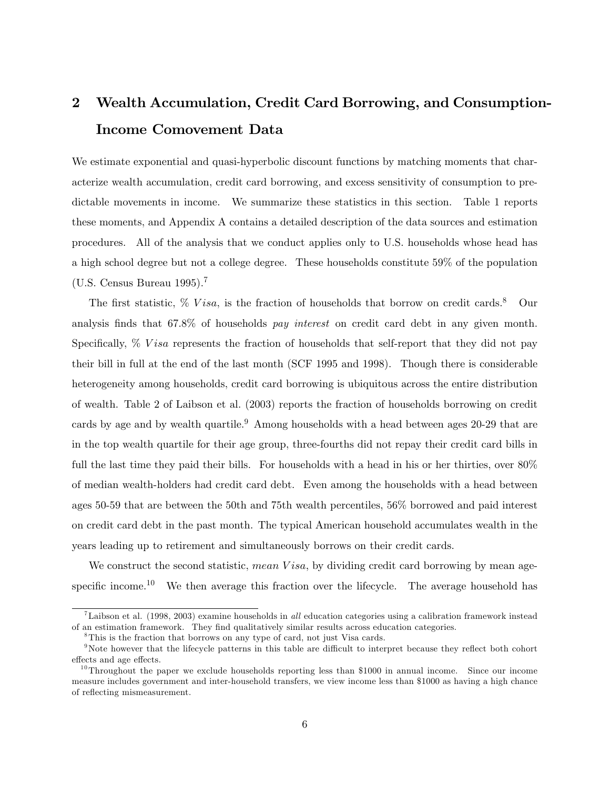# 2 Wealth Accumulation, Credit Card Borrowing, and Consumption-Income Comovement Data

We estimate exponential and quasi-hyperbolic discount functions by matching moments that characterize wealth accumulation, credit card borrowing, and excess sensitivity of consumption to predictable movements in income. We summarize these statistics in this section. Table 1 reports these moments, and Appendix A contains a detailed description of the data sources and estimation procedures. All of the analysis that we conduct applies only to U.S. households whose head has a high school degree but not a college degree. These households constitute 59% of the population (U.S. Census Bureau 1995).<sup>7</sup>

The first statistic,  $\%$  V isa, is the fraction of households that borrow on credit cards.<sup>8</sup> Our analysis finds that 67.8% of households pay interest on credit card debt in any given month. Specifically,  $\%$  V is a represents the fraction of households that self-report that they did not pay their bill in full at the end of the last month (SCF 1995 and 1998). Though there is considerable heterogeneity among households, credit card borrowing is ubiquitous across the entire distribution of wealth. Table 2 of Laibson et al. (2003) reports the fraction of households borrowing on credit cards by age and by wealth quartile.<sup>9</sup> Among households with a head between ages 20-29 that are in the top wealth quartile for their age group, three-fourths did not repay their credit card bills in full the last time they paid their bills. For households with a head in his or her thirties, over  $80\%$ of median wealth-holders had credit card debt. Even among the households with a head between ages 50-59 that are between the 50th and 75th wealth percentiles, 56% borrowed and paid interest on credit card debt in the past month. The typical American household accumulates wealth in the years leading up to retirement and simultaneously borrows on their credit cards.

We construct the second statistic, mean Visa, by dividing credit card borrowing by mean agespecific income.<sup>10</sup> We then average this fraction over the lifecycle. The average household has

<sup>&</sup>lt;sup>7</sup>Laibson et al. (1998, 2003) examine households in all education categories using a calibration framework instead of an estimation framework. They find qualitatively similar results across education categories.

<sup>&</sup>lt;sup>8</sup>This is the fraction that borrows on any type of card, not just Visa cards.

<sup>&</sup>lt;sup>9</sup>Note however that the lifecycle patterns in this table are difficult to interpret because they reflect both cohort effects and age effects.

 $10$ Throughout the paper we exclude households reporting less than \$1000 in annual income. Since our income measure includes government and inter-household transfers, we view income less than \$1000 as having a high chance of reflecting mismeasurement.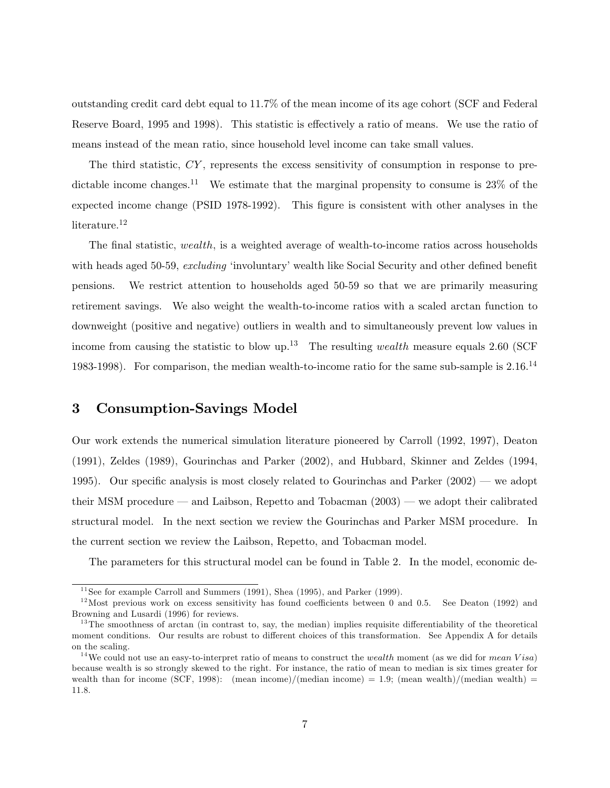outstanding credit card debt equal to 11.7% of the mean income of its age cohort (SCF and Federal Reserve Board, 1995 and 1998). This statistic is effectively a ratio of means. We use the ratio of means instead of the mean ratio, since household level income can take small values.

The third statistic, CY, represents the excess sensitivity of consumption in response to predictable income changes.<sup>11</sup> We estimate that the marginal propensity to consume is  $23\%$  of the expected income change (PSID 1978-1992). This figure is consistent with other analyses in the literature.<sup>12</sup>

The final statistic, wealth, is a weighted average of wealth-to-income ratios across households with heads aged 50-59, excluding 'involuntary' wealth like Social Security and other defined benefit pensions. We restrict attention to households aged 50-59 so that we are primarily measuring retirement savings. We also weight the wealth-to-income ratios with a scaled arctan function to downweight (positive and negative) outliers in wealth and to simultaneously prevent low values in income from causing the statistic to blow up.<sup>13</sup> The resulting *wealth* measure equals 2.60 (SCF 1983-1998). For comparison, the median wealth-to-income ratio for the same sub-sample is 2.16.<sup>14</sup>

### 3 Consumption-Savings Model

Our work extends the numerical simulation literature pioneered by Carroll (1992, 1997), Deaton (1991), Zeldes (1989), Gourinchas and Parker (2002), and Hubbard, Skinner and Zeldes (1994, 1995). Our specific analysis is most closely related to Gourinchas and Parker  $(2002)$  — we adopt their MSM procedure  $-$  and Laibson, Repetto and Tobacman  $(2003)$   $-$  we adopt their calibrated structural model. In the next section we review the Gourinchas and Parker MSM procedure. In the current section we review the Laibson, Repetto, and Tobacman model.

The parameters for this structural model can be found in Table 2. In the model, economic de-

 $11$  See for example Carroll and Summers (1991), Shea (1995), and Parker (1999).

 $12$  Most previous work on excess sensitivity has found coefficients between 0 and 0.5. See Deaton (1992) and Browning and Lusardi (1996) for reviews.

 $13$ The smoothness of arctan (in contrast to, say, the median) implies requisite differentiability of the theoretical moment conditions. Our results are robust to different choices of this transformation. See Appendix A for details on the scaling.

<sup>&</sup>lt;sup>14</sup> We could not use an easy-to-interpret ratio of means to construct the *wealth* moment (as we did for *mean Visa*) because wealth is so strongly skewed to the right. For instance, the ratio of mean to median is six times greater for wealth than for income (SCF, 1998): (mean income)/(median income) = 1.9; (mean wealth)/(median wealth) = 11.8.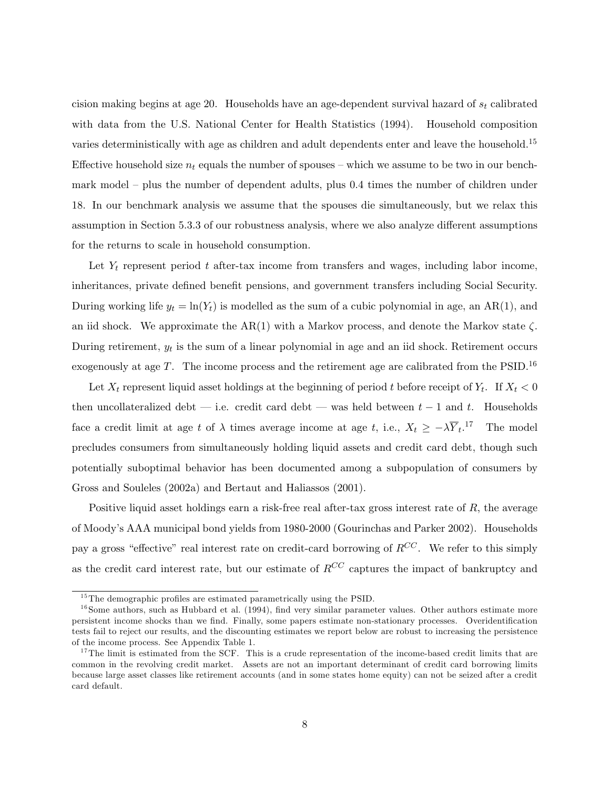cision making begins at age 20. Households have an age-dependent survival hazard of  $s_t$  calibrated with data from the U.S. National Center for Health Statistics (1994). Household composition varies deterministically with age as children and adult dependents enter and leave the household.<sup>15</sup> Effective household size  $n_t$  equals the number of spouses – which we assume to be two in our benchmark model – plus the number of dependent adults, plus 0.4 times the number of children under 18. In our benchmark analysis we assume that the spouses die simultaneously, but we relax this assumption in Section 5.3.3 of our robustness analysis, where we also analyze different assumptions for the returns to scale in household consumption.

Let  $Y_t$  represent period t after-tax income from transfers and wages, including labor income, inheritances, private defined benefit pensions, and government transfers including Social Security. During working life  $y_t = \ln(Y_t)$  is modelled as the sum of a cubic polynomial in age, an AR(1), and an iid shock. We approximate the AR(1) with a Markov process, and denote the Markov state  $\zeta$ . During retirement,  $y_t$  is the sum of a linear polynomial in age and an iid shock. Retirement occurs exogenously at age  $T$ . The income process and the retirement age are calibrated from the PSID.<sup>16</sup>

Let  $X_t$  represent liquid asset holdings at the beginning of period t before receipt of  $Y_t$ . If  $X_t < 0$ then uncollateralized debt  $-$  i.e. credit card debt  $-$  was held between  $t - 1$  and t. Households face a credit limit at age t of  $\lambda$  times average income at age t, i.e.,  $X_t \geq -\lambda \overline{Y}_t$ .<sup>17</sup> The model precludes consumers from simultaneously holding liquid assets and credit card debt, though such potentially suboptimal behavior has been documented among a subpopulation of consumers by Gross and Souleles (2002a) and Bertaut and Haliassos (2001).

Positive liquid asset holdings earn a risk-free real after-tax gross interest rate of  $R$ , the average of Moodys AAA municipal bond yields from 1980-2000 (Gourinchas and Parker 2002). Households pay a gross "effective" real interest rate on credit-card borrowing of  $R^{CC}$ . We refer to this simply as the credit card interest rate, but our estimate of  $R^{CC}$  captures the impact of bankruptcy and

 $^{15}\mathrm{The}$  demographic profiles are estimated parametrically using the PSID.

 $16$  Some authors, such as Hubbard et al. (1994), find very similar parameter values. Other authors estimate more persistent income shocks than we find. Finally, some papers estimate non-stationary processes. Overidentification tests fail to reject our results, and the discounting estimates we report below are robust to increasing the persistence of the income process. See Appendix Table 1.

 $17$ The limit is estimated from the SCF. This is a crude representation of the income-based credit limits that are common in the revolving credit market. Assets are not an important determinant of credit card borrowing limits because large asset classes like retirement accounts (and in some states home equity) can not be seized after a credit card default.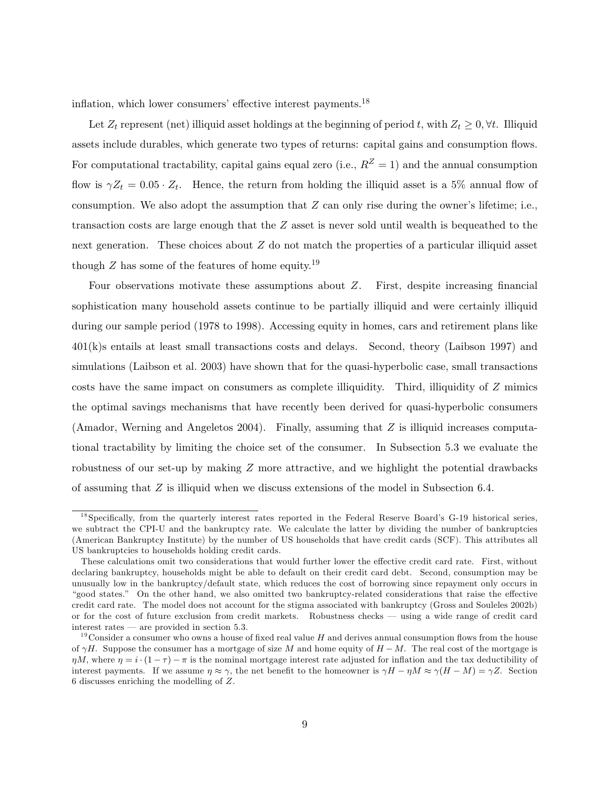inflation, which lower consumers' effective interest payments.<sup>18</sup>

Let  $Z_t$  represent (net) illiquid asset holdings at the beginning of period t, with  $Z_t \geq 0, \forall t$ . Illiquid assets include durables, which generate two types of returns: capital gains and consumption flows. For computational tractability, capital gains equal zero (i.e.,  $R^Z = 1$ ) and the annual consumption flow is  $\gamma Z_t = 0.05 \cdot Z_t$ . Hence, the return from holding the illiquid asset is a 5% annual flow of consumption. We also adopt the assumption that  $Z$  can only rise during the owner's lifetime; i.e., transaction costs are large enough that the Z asset is never sold until wealth is bequeathed to the next generation. These choices about  $Z$  do not match the properties of a particular illiquid asset though  $Z$  has some of the features of home equity.<sup>19</sup>

Four observations motivate these assumptions about  $Z$ . First, despite increasing financial sophistication many household assets continue to be partially illiquid and were certainly illiquid during our sample period (1978 to 1998). Accessing equity in homes, cars and retirement plans like 401(k)s entails at least small transactions costs and delays. Second, theory (Laibson 1997) and simulations (Laibson et al. 2003) have shown that for the quasi-hyperbolic case, small transactions costs have the same impact on consumers as complete illiquidity. Third, illiquidity of Z mimics the optimal savings mechanisms that have recently been derived for quasi-hyperbolic consumers (Amador, Werning and Angeletos 2004). Finally, assuming that  $Z$  is illiquid increases computational tractability by limiting the choice set of the consumer. In Subsection 5.3 we evaluate the robustness of our set-up by making Z more attractive, and we highlight the potential drawbacks of assuming that Z is illiquid when we discuss extensions of the model in Subsection 6.4.

 $^{18}$ Specifically, from the quarterly interest rates reported in the Federal Reserve Board's G-19 historical series, we subtract the CPI-U and the bankruptcy rate. We calculate the latter by dividing the number of bankruptcies (American Bankruptcy Institute) by the number of US households that have credit cards (SCF). This attributes all US bankruptcies to households holding credit cards.

These calculations omit two considerations that would further lower the effective credit card rate. First, without declaring bankruptcy, households might be able to default on their credit card debt. Second, consumption may be unusually low in the bankruptcy/default state, which reduces the cost of borrowing since repayment only occurs in "good states." On the other hand, we also omitted two bankruptcy-related considerations that raise the effective credit card rate. The model does not account for the stigma associated with bankruptcy (Gross and Souleles 2002b) or for the cost of future exclusion from credit markets. Robustness checks using a wide range of credit card interest rates  $-$  are provided in section 5.3.

 $19^{\circ}$ Consider a consumer who owns a house of fixed real value H and derives annual consumption flows from the house of  $\gamma H$ . Suppose the consumer has a mortgage of size M and home equity of  $H-M$ . The real cost of the mortgage is  $\eta M$ , where  $\eta = i \cdot (1 - \tau) - \pi$  is the nominal mortgage interest rate adjusted for inflation and the tax deductibility of interest payments. If we assume  $\eta \approx \gamma$ , the net benefit to the homeowner is  $\gamma H - \eta M \approx \gamma (H - M) = \gamma Z$ . Section 6 discusses enriching the modelling of Z.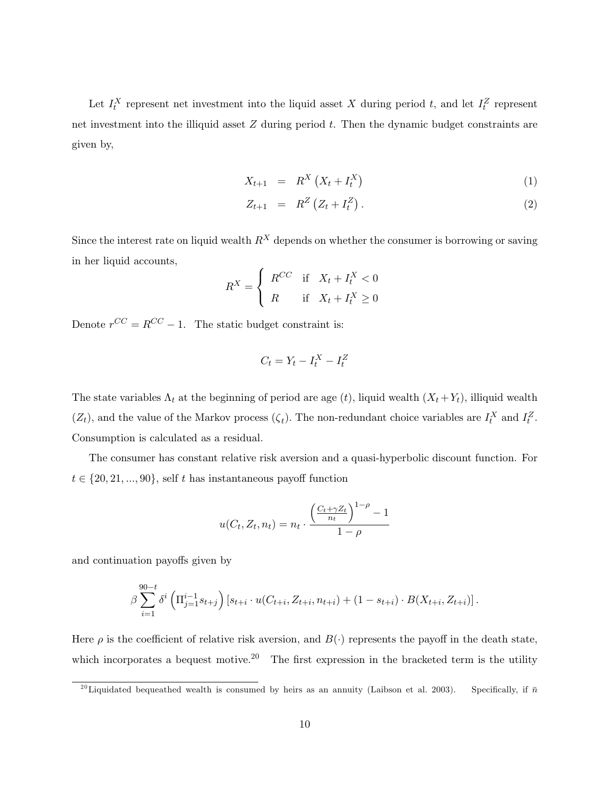Let  $I_t^X$  represent net investment into the liquid asset X during period t, and let  $I_t^Z$  represent net investment into the illiquid asset  $Z$  during period  $t$ . Then the dynamic budget constraints are given by,

$$
X_{t+1} = R^X \left( X_t + I_t^X \right) \tag{1}
$$

$$
Z_{t+1} = R^Z \left( Z_t + I_t^Z \right). \tag{2}
$$

Since the interest rate on liquid wealth  $R<sup>X</sup>$  depends on whether the consumer is borrowing or saving in her liquid accounts,

$$
R^X = \begin{cases} R^{CC} & \text{if } X_t + I_t^X < 0 \\ R & \text{if } X_t + I_t^X \ge 0 \end{cases}
$$

Denote  $r^{CC} = R^{CC} - 1$ . The static budget constraint is:

$$
C_t = Y_t - I_t^X - I_t^Z
$$

The state variables  $\Lambda_t$  at the beginning of period are age (t), liquid wealth  $(X_t + Y_t)$ , illiquid wealth  $(Z_t)$ , and the value of the Markov process  $(\zeta_t)$ . The non-redundant choice variables are  $I_t^X$  and  $I_t^Z$ . Consumption is calculated as a residual.

The consumer has constant relative risk aversion and a quasi-hyperbolic discount function. For  $t \in \{20, 21, ..., 90\}$ , self t has instantaneous payoff function

$$
u(C_t, Z_t, n_t) = n_t \cdot \frac{\left(\frac{C_t + \gamma Z_t}{n_t}\right)^{1-\rho} - 1}{1-\rho}
$$

and continuation payoffs given by

$$
\beta \sum_{i=1}^{90-t} \delta^i \left( \Pi_{j=1}^{i-1} s_{t+j} \right) \left[ s_{t+i} \cdot u(C_{t+i}, Z_{t+i}, n_{t+i}) + (1 - s_{t+i}) \cdot B(X_{t+i}, Z_{t+i}) \right].
$$

Here  $\rho$  is the coefficient of relative risk aversion, and  $B(\cdot)$  represents the payoff in the death state, which incorporates a bequest motive.<sup>20</sup> The first expression in the bracketed term is the utility

<sup>&</sup>lt;sup>20</sup>Liquidated bequeathed wealth is consumed by heirs as an annuity (Laibson et al. 2003). Specifically, if  $\bar{n}$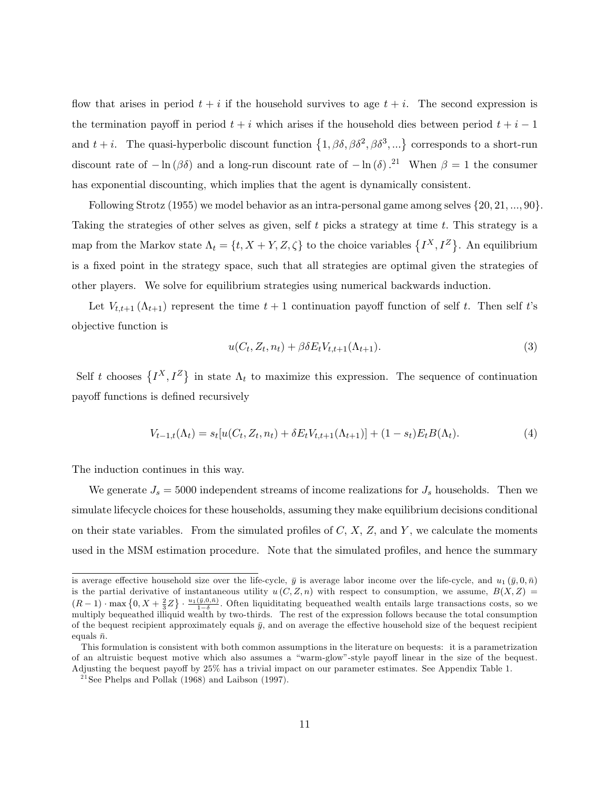flow that arises in period  $t + i$  if the household survives to age  $t + i$ . The second expression is the termination payoff in period  $t + i$  which arises if the household dies between period  $t + i - 1$ and  $t + i$ . The quasi-hyperbolic discount function  $\{1, \beta\delta, \beta\delta^2, \beta\delta^3, ...\}$  corresponds to a short-run discount rate of  $-\ln(\beta\delta)$  and a long-run discount rate of  $-\ln(\delta).^{21}$  When  $\beta = 1$  the consumer has exponential discounting, which implies that the agent is dynamically consistent.

Following Strotz (1955) we model behavior as an intra-personal game among selves  $\{20, 21, ..., 90\}$ . Taking the strategies of other selves as given, self  $t$  picks a strategy at time  $t$ . This strategy is a map from the Markov state  $\Lambda_t = \{t, X + Y, Z, \zeta\}$  to the choice variables  $\{I^X, I^Z\}$ . An equilibrium is a fixed point in the strategy space, such that all strategies are optimal given the strategies of other players. We solve for equilibrium strategies using numerical backwards induction.

Let  $V_{t,t+1}(\Lambda_{t+1})$  represent the time  $t+1$  continuation payoff function of self t. Then self t's objective function is

$$
u(C_t, Z_t, n_t) + \beta \delta E_t V_{t,t+1}(\Lambda_{t+1}). \tag{3}
$$

Self t chooses  $\{I^X, I^Z\}$  in state  $\Lambda_t$  to maximize this expression. The sequence of continuation payoff functions is defined recursively

$$
V_{t-1,t}(\Lambda_t) = s_t[u(C_t, Z_t, n_t) + \delta E_t V_{t,t+1}(\Lambda_{t+1})] + (1 - s_t)E_t B(\Lambda_t). \tag{4}
$$

The induction continues in this way.

We generate  $J_s = 5000$  independent streams of income realizations for  $J_s$  households. Then we simulate lifecycle choices for these households, assuming they make equilibrium decisions conditional on their state variables. From the simulated profiles of  $C, X, Z$ , and  $Y$ , we calculate the moments used in the MSM estimation procedure. Note that the simulated profiles, and hence the summary

is average effective household size over the life-cycle,  $\bar{y}$  is average labor income over the life-cycle, and  $u_1(\bar{y}, 0, \bar{n})$ is the partial derivative of instantaneous utility  $u(C, Z, n)$  with respect to consumption, we assume,  $B(X, Z)$  $(R-1)$   $\cdot$  max  $\{0, X+\frac{2}{3}Z\}$   $\cdot \frac{u_1(\bar{y},0,\bar{n})}{1-\delta}$ . Often liquiditating bequeathed wealth entails large transactions costs, so we multiply bequeathed illiquid wealth by two-thirds. The rest of the expression follows because the total consumption of the bequest recipient approximately equals  $\bar{y}$ , and on average the effective household size of the bequest recipient equals  $\bar{n}$ .

This formulation is consistent with both common assumptions in the literature on bequests: it is a parametrization of an altruistic bequest motive which also assumes a "warm-glow"-style payoff linear in the size of the bequest. Adjusting the bequest payoff by 25% has a trivial impact on our parameter estimates. See Appendix Table 1.

 $21$  See Phelps and Pollak (1968) and Laibson (1997).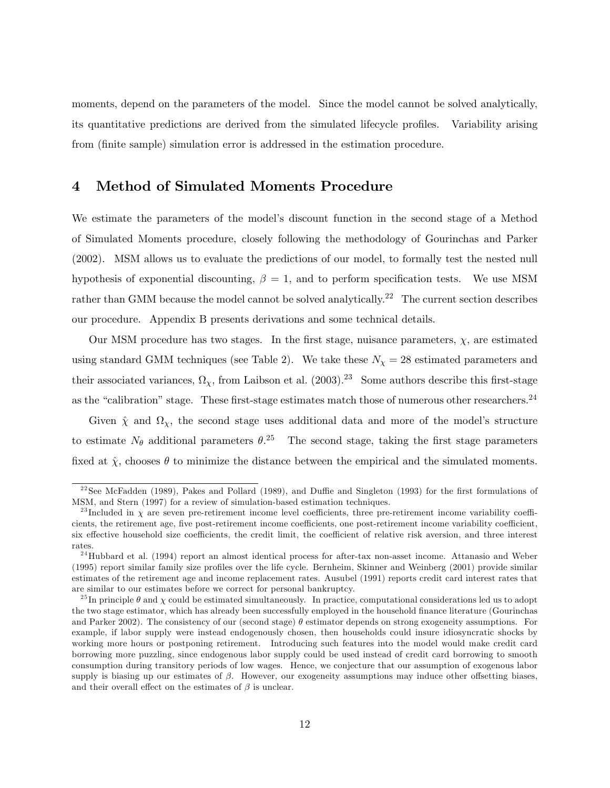moments, depend on the parameters of the model. Since the model cannot be solved analytically, its quantitative predictions are derived from the simulated lifecycle profiles. Variability arising from (finite sample) simulation error is addressed in the estimation procedure.

### 4 Method of Simulated Moments Procedure

We estimate the parameters of the model's discount function in the second stage of a Method of Simulated Moments procedure, closely following the methodology of Gourinchas and Parker (2002). MSM allows us to evaluate the predictions of our model, to formally test the nested null hypothesis of exponential discounting,  $\beta = 1$ , and to perform specification tests. We use MSM rather than GMM because the model cannot be solved analytically.<sup>22</sup> The current section describes our procedure. Appendix B presents derivations and some technical details.

Our MSM procedure has two stages. In the first stage, nuisance parameters,  $\chi$ , are estimated using standard GMM techniques (see Table 2). We take these  $N_{\chi} = 28$  estimated parameters and their associated variances,  $\Omega_{\chi}$ , from Laibson et al. (2003).<sup>23</sup> Some authors describe this first-stage as the "calibration" stage. These first-stage estimates match those of numerous other researchers.<sup>24</sup>

Given  $\hat{\chi}$  and  $\Omega_{\chi}$ , the second stage uses additional data and more of the model's structure to estimate  $N_{\theta}$  additional parameters  $\theta$ <sup>25</sup>. The second stage, taking the first stage parameters fixed at  $\hat{\chi}$ , chooses  $\theta$  to minimize the distance between the empirical and the simulated moments.

 $22$ See McFadden (1989), Pakes and Pollard (1989), and Duffie and Singleton (1993) for the first formulations of MSM, and Stern (1997) for a review of simulation-based estimation techniques.

<sup>&</sup>lt;sup>23</sup> Included in  $\chi$  are seven pre-retirement income level coefficients, three pre-retirement income variability coefficients, the retirement age, five post-retirement income coefficients, one post-retirement income variability coefficient, six effective household size coefficients, the credit limit, the coefficient of relative risk aversion, and three interest rates.

<sup>&</sup>lt;sup>24</sup>Hubbard et al. (1994) report an almost identical process for after-tax non-asset income. Attanasio and Weber (1995) report similar family size profiles over the life cycle. Bernheim, Skinner and Weinberg (2001) provide similar estimates of the retirement age and income replacement rates. Ausubel (1991) reports credit card interest rates that are similar to our estimates before we correct for personal bankruptcy.

<sup>&</sup>lt;sup>25</sup>In principle  $\theta$  and  $\chi$  could be estimated simultaneously. In practice, computational considerations led us to adopt the two stage estimator, which has already been successfully employed in the household nance literature (Gourinchas and Parker 2002). The consistency of our (second stage)  $\theta$  estimator depends on strong exogeneity assumptions. For example, if labor supply were instead endogenously chosen, then households could insure idiosyncratic shocks by working more hours or postponing retirement. Introducing such features into the model would make credit card borrowing more puzzling, since endogenous labor supply could be used instead of credit card borrowing to smooth consumption during transitory periods of low wages. Hence, we conjecture that our assumption of exogenous labor supply is biasing up our estimates of  $\beta$ . However, our exogeneity assumptions may induce other offsetting biases, and their overall effect on the estimates of  $\beta$  is unclear.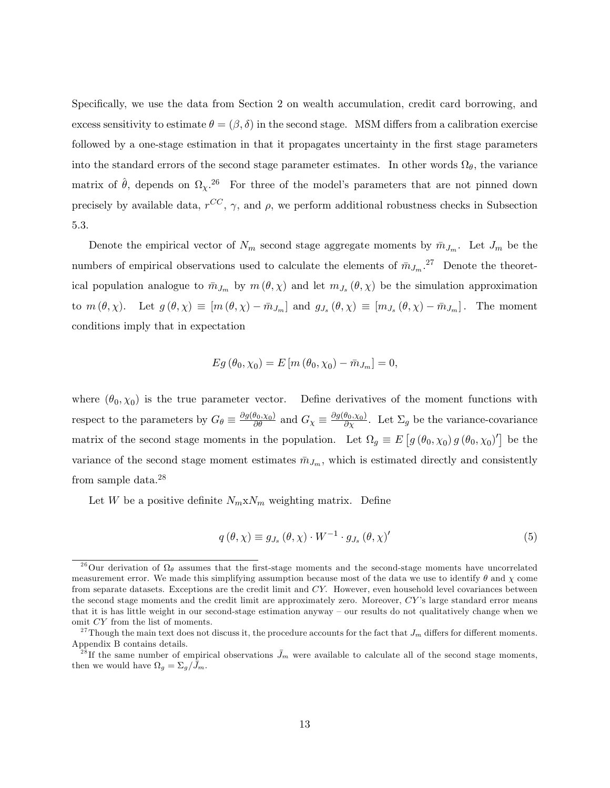Specifically, we use the data from Section 2 on wealth accumulation, credit card borrowing, and excess sensitivity to estimate  $\theta = (\beta, \delta)$  in the second stage. MSM differs from a calibration exercise followed by a one-stage estimation in that it propagates uncertainty in the first stage parameters into the standard errors of the second stage parameter estimates. In other words  $\Omega_{\theta}$ , the variance matrix of  $\hat{\theta}$ , depends on  $\Omega_{\chi}$ .<sup>26</sup> For three of the model's parameters that are not pinned down precisely by available data,  $r^{CC}$ ,  $\gamma$ , and  $\rho$ , we perform additional robustness checks in Subsection 5.3.

Denote the empirical vector of  $N_m$  second stage aggregate moments by  $\bar{m}_{J_m}$ . Let  $J_m$  be the numbers of empirical observations used to calculate the elements of  $\bar{m}_{J_m}$ .<sup>27</sup> Denote the theoretical population analogue to  $\bar{m}_{J_m}$  by  $m(\theta, \chi)$  and let  $m_{J_s}(\theta, \chi)$  be the simulation approximation to  $m(\theta, \chi)$ . Let  $g(\theta, \chi) \equiv [m(\theta, \chi) - \bar{m}_{J_m}]$  and  $g_{J_s}(\theta, \chi) \equiv [m_{J_s}(\theta, \chi) - \bar{m}_{J_m}]$ . The moment conditions imply that in expectation

$$
Eg(\theta_0, \chi_0) = E[m(\theta_0, \chi_0) - \bar{m}_{J_m}] = 0,
$$

where  $(\theta_0, \chi_0)$  is the true parameter vector. Define derivatives of the moment functions with respect to the parameters by  $G_{\theta} \equiv \frac{\partial g(\theta_0, \chi_0)}{\partial \theta}$  and  $G_{\chi} \equiv \frac{\partial g(\theta_0, \chi_0)}{\partial \chi}$ . Let  $\Sigma_g$  be the variance-covariance matrix of the second stage moments in the population. Let  $\Omega_g \equiv E[g(\theta_0, \chi_0)g(\theta_0, \chi_0)']$  be the variance of the second stage moment estimates  $\bar{m}_{J_m}$ , which is estimated directly and consistently from sample data.<sup>28</sup>

Let W be a positive definite  $N_m x N_m$  weighting matrix. Define

$$
q(\theta, \chi) \equiv g_{J_s}(\theta, \chi) \cdot W^{-1} \cdot g_{J_s}(\theta, \chi)'
$$
 (5)

<sup>&</sup>lt;sup>26</sup>Our derivation of  $\Omega_{\theta}$  assumes that the first-stage moments and the second-stage moments have uncorrelated measurement error. We made this simplifying assumption because most of the data we use to identify  $\theta$  and  $\chi$  come from separate datasets. Exceptions are the credit limit and CY: However, even household level covariances between the second stage moments and the credit limit are approximately zero. Moreover, CY's large standard error means that it is has little weight in our second-stage estimation anyway – our results do not qualitatively change when we omit CY from the list of moments.

<sup>&</sup>lt;sup>27</sup>Though the main text does not discuss it, the procedure accounts for the fact that  $J_m$  differs for different moments. Appendix B contains details.

 $^{28}$ If the same number of empirical observations  $\bar{J}_m$  were available to calculate all of the second stage moments, then we would have  $\Omega_g = \Sigma_g / \bar{J}_m$ .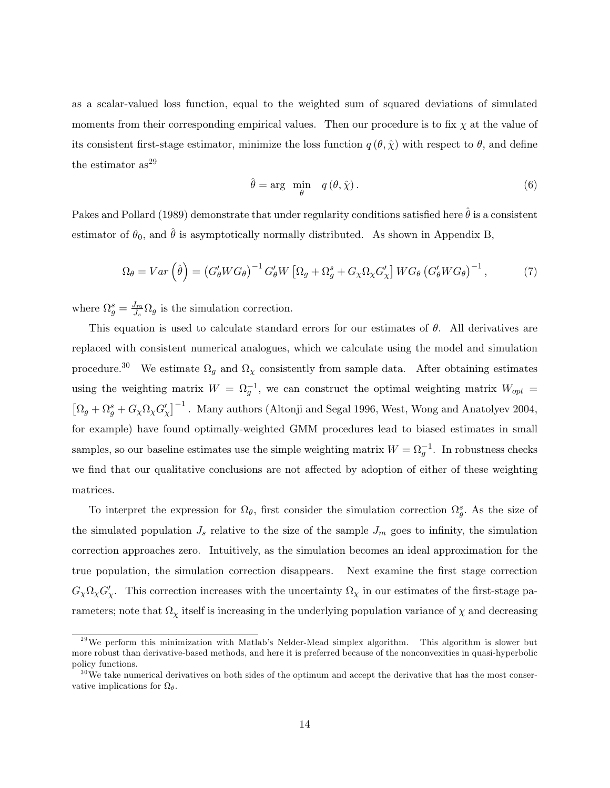as a scalar-valued loss function, equal to the weighted sum of squared deviations of simulated moments from their corresponding empirical values. Then our procedure is to fix  $\chi$  at the value of its consistent first-stage estimator, minimize the loss function  $q(\theta, \hat{\chi})$  with respect to  $\theta$ , and define the estimator  $as^{29}$ 

$$
\hat{\theta} = \arg \min_{\theta} \quad q(\theta, \hat{\chi}). \tag{6}
$$

Pakes and Pollard (1989) demonstrate that under regularity conditions satisfied here  $\hat{\theta}$  is a consistent estimator of  $\theta_0$ , and  $\hat{\theta}$  is asymptotically normally distributed. As shown in Appendix B,

$$
\Omega_{\theta} = Var\left(\hat{\theta}\right) = \left(G'_{\theta}WG_{\theta}\right)^{-1} G'_{\theta}W\left[\Omega_{g} + \Omega_{g}^{s} + G_{\chi}\Omega_{\chi}G'_{\chi}\right]WG_{\theta}\left(G'_{\theta}WG_{\theta}\right)^{-1},\tag{7}
$$

where  $\Omega_g^s = \frac{J_m}{J_s}$  $\frac{J_m}{J_s} \Omega_g$  is the simulation correction.

This equation is used to calculate standard errors for our estimates of  $\theta$ . All derivatives are replaced with consistent numerical analogues, which we calculate using the model and simulation procedure.<sup>30</sup> We estimate  $\Omega_g$  and  $\Omega_\chi$  consistently from sample data. After obtaining estimates using the weighting matrix  $W = \Omega_g^{-1}$ , we can construct the optimal weighting matrix  $W_{opt} =$  $\left[\Omega_g + \Omega_g^s + G_\chi \Omega_\chi G'_\chi\right]^{-1}$ . Many authors (Altonji and Segal 1996, West, Wong and Anatolyev 2004, for example) have found optimally-weighted GMM procedures lead to biased estimates in small samples, so our baseline estimates use the simple weighting matrix  $W = \Omega_g^{-1}$ . In robustness checks we find that our qualitative conclusions are not affected by adoption of either of these weighting matrices.

To interpret the expression for  $\Omega_{\theta}$ , first consider the simulation correction  $\Omega_{g}^{s}$ . As the size of the simulated population  $J_s$  relative to the size of the sample  $J_m$  goes to infinity, the simulation correction approaches zero. Intuitively, as the simulation becomes an ideal approximation for the true population, the simulation correction disappears. Next examine the first stage correction  $G_\chi \Omega_\chi G'_\chi$ . This correction increases with the uncertainty  $\Omega_\chi$  in our estimates of the first-stage parameters; note that  $\Omega_{\chi}$  itself is increasing in the underlying population variance of  $\chi$  and decreasing

 $^{29}$ We perform this minimization with Matlab's Nelder-Mead simplex algorithm. This algorithm is slower but more robust than derivative-based methods, and here it is preferred because of the nonconvexities in quasi-hyperbolic policy functions.

 $30$  We take numerical derivatives on both sides of the optimum and accept the derivative that has the most conservative implications for  $\Omega_{\theta}$ .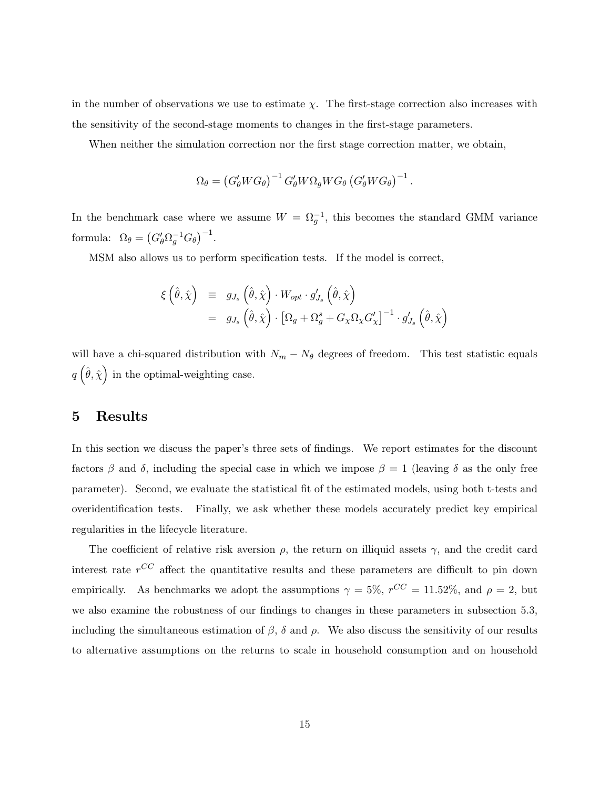in the number of observations we use to estimate  $\chi$ . The first-stage correction also increases with the sensitivity of the second-stage moments to changes in the first-stage parameters.

When neither the simulation correction nor the first stage correction matter, we obtain,

$$
\Omega_{\theta} = \left(G'_{\theta}WG_{\theta}\right)^{-1} G'_{\theta}W\Omega_{g}WG_{\theta}\left(G'_{\theta}WG_{\theta}\right)^{-1}.
$$

In the benchmark case where we assume  $W = \Omega_g^{-1}$ , this becomes the standard GMM variance formula:  $\Omega_{\theta} = (G'_{\theta} \Omega_g^{-1} G_{\theta})^{-1}$ .

MSM also allows us to perform specification tests. If the model is correct,

$$
\xi\left(\hat{\theta},\hat{\chi}\right) \equiv g_{J_s}\left(\hat{\theta},\hat{\chi}\right) \cdot W_{opt} \cdot g'_{J_s}\left(\hat{\theta},\hat{\chi}\right)
$$
  

$$
= g_{J_s}\left(\hat{\theta},\hat{\chi}\right) \cdot \left[\Omega_g + \Omega_g^s + G_{\chi}\Omega_{\chi}G'_{\chi}\right]^{-1} \cdot g'_{J_s}\left(\hat{\theta},\hat{\chi}\right)
$$

will have a chi-squared distribution with  $N_m - N_\theta$  degrees of freedom. This test statistic equals  $q\left(\hat{\theta}, \hat{\chi}\right)$  in the optimal-weighting case.

### 5 Results

In this section we discuss the paper's three sets of findings. We report estimates for the discount factors  $\beta$  and  $\delta$ , including the special case in which we impose  $\beta = 1$  (leaving  $\delta$  as the only free parameter). Second, we evaluate the statistical fit of the estimated models, using both t-tests and overidentification tests. Finally, we ask whether these models accurately predict key empirical regularities in the lifecycle literature.

The coefficient of relative risk aversion  $\rho$ , the return on illiquid assets  $\gamma$ , and the credit card interest rate  $r^{CC}$  affect the quantitative results and these parameters are difficult to pin down empirically. As benchmarks we adopt the assumptions  $\gamma = 5\%$ ,  $r^{CC} = 11.52\%$ , and  $\rho = 2$ , but we also examine the robustness of our findings to changes in these parameters in subsection 5.3, including the simultaneous estimation of  $\beta$ ,  $\delta$  and  $\rho$ . We also discuss the sensitivity of our results to alternative assumptions on the returns to scale in household consumption and on household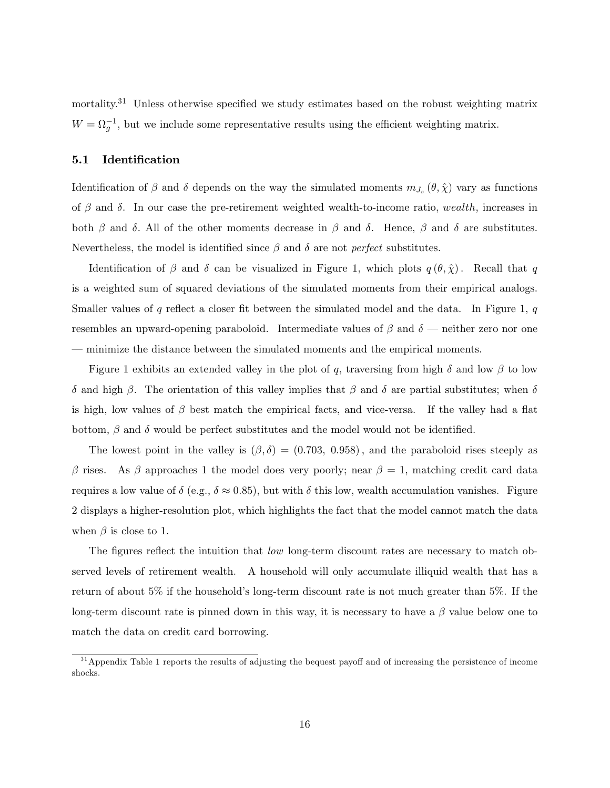mortality.<sup>31</sup> Unless otherwise specified we study estimates based on the robust weighting matrix  $W = \Omega_g^{-1}$ , but we include some representative results using the efficient weighting matrix.

#### 5.1 Identification

Identification of  $\beta$  and  $\delta$  depends on the way the simulated moments  $m_{J_s}(\theta, \hat{\chi})$  vary as functions of  $\beta$  and  $\delta$ . In our case the pre-retirement weighted wealth-to-income ratio, wealth, increases in both  $\beta$  and  $\delta$ . All of the other moments decrease in  $\beta$  and  $\delta$ . Hence,  $\beta$  and  $\delta$  are substitutes. Nevertheless, the model is identified since  $\beta$  and  $\delta$  are not *perfect* substitutes.

Identification of  $\beta$  and  $\delta$  can be visualized in Figure 1, which plots  $q(\theta, \hat{\chi})$ . Recall that q is a weighted sum of squared deviations of the simulated moments from their empirical analogs. Smaller values of q reflect a closer fit between the simulated model and the data. In Figure 1,  $q$ resembles an upward-opening paraboloid. Intermediate values of  $\beta$  and  $\delta$  — neither zero nor one minimize the distance between the simulated moments and the empirical moments.

Figure 1 exhibits an extended valley in the plot of q, traversing from high  $\delta$  and low  $\beta$  to low  $\delta$  and high  $\beta$ . The orientation of this valley implies that  $\beta$  and  $\delta$  are partial substitutes; when  $\delta$ is high, low values of  $\beta$  best match the empirical facts, and vice-versa. If the valley had a flat bottom,  $\beta$  and  $\delta$  would be perfect substitutes and the model would not be identified.

The lowest point in the valley is  $(\beta, \delta) = (0.703, 0.958)$ , and the paraboloid rises steeply as  $\beta$  rises. As  $\beta$  approaches 1 the model does very poorly; near  $\beta = 1$ , matching credit card data requires a low value of  $\delta$  (e.g.,  $\delta \approx 0.85$ ), but with  $\delta$  this low, wealth accumulation vanishes. Figure 2 displays a higher-resolution plot, which highlights the fact that the model cannot match the data when  $\beta$  is close to 1.

The figures reflect the intuition that  $low$  long-term discount rates are necessary to match observed levels of retirement wealth. A household will only accumulate illiquid wealth that has a return of about  $5\%$  if the household's long-term discount rate is not much greater than  $5\%$ . If the long-term discount rate is pinned down in this way, it is necessary to have a  $\beta$  value below one to match the data on credit card borrowing.

<sup>&</sup>lt;sup>31</sup> Appendix Table 1 reports the results of adjusting the bequest payoff and of increasing the persistence of income shocks.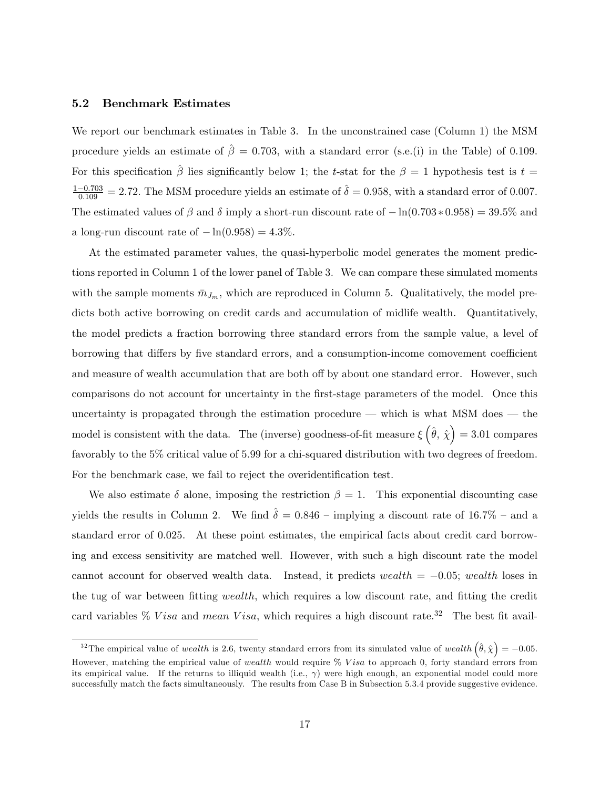#### 5.2 Benchmark Estimates

We report our benchmark estimates in Table 3. In the unconstrained case (Column 1) the MSM procedure yields an estimate of  $\hat{\beta} = 0.703$ , with a standard error (s.e.(i) in the Table) of 0.109. For this specification  $\hat{\beta}$  lies significantly below 1; the t-stat for the  $\beta = 1$  hypothesis test is t =  $\frac{1-0.703}{0.109} = 2.72$ . The MSM procedure yields an estimate of  $\hat{\delta} = 0.958$ , with a standard error of 0.007. The estimated values of  $\beta$  and  $\delta$  imply a short-run discount rate of  $-\ln(0.703 * 0.958) = 39.5\%$  and a long-run discount rate of  $-\ln(0.958) = 4.3\%$ .

At the estimated parameter values, the quasi-hyperbolic model generates the moment predictions reported in Column 1 of the lower panel of Table 3. We can compare these simulated moments with the sample moments  $\bar{m}_{J_m}$ , which are reproduced in Column 5. Qualitatively, the model predicts both active borrowing on credit cards and accumulation of midlife wealth. Quantitatively, the model predicts a fraction borrowing three standard errors from the sample value, a level of borrowing that differs by five standard errors, and a consumption-income comovement coefficient and measure of wealth accumulation that are both off by about one standard error. However, such comparisons do not account for uncertainty in the first-stage parameters of the model. Once this uncertainty is propagated through the estimation procedure  $-$  which is what MSM does  $-$  the model is consistent with the data. The (inverse) goodness-of-fit measure  $\xi(\hat{\theta}, \hat{\chi}) = 3.01$  compares favorably to the 5% critical value of 5.99 for a chi-squared distribution with two degrees of freedom. For the benchmark case, we fail to reject the overidentification test.

We also estimate  $\delta$  alone, imposing the restriction  $\beta = 1$ . This exponential discounting case yields the results in Column 2. We find  $\hat{\delta} = 0.846$  – implying a discount rate of 16.7% – and a standard error of 0.025. At these point estimates, the empirical facts about credit card borrowing and excess sensitivity are matched well. However, with such a high discount rate the model cannot account for observed wealth data. Instead, it predicts wealth  $= -0.05$ ; wealth loses in the tug of war between fitting *wealth*, which requires a low discount rate, and fitting the credit card variables % V isa and mean V isa, which requires a high discount rate.<sup>32</sup> The best fit avail-

<sup>&</sup>lt;sup>32</sup> The empirical value of wealth is 2.6, twenty standard errors from its simulated value of wealth  $(\hat{\theta}, \hat{\chi}) = -0.05$ . However, matching the empirical value of wealth would require % Visa to approach 0, forty standard errors from its empirical value. If the returns to illiquid wealth (i.e.,  $\gamma$ ) were high enough, an exponential model could more successfully match the facts simultaneously. The results from Case B in Subsection 5.3.4 provide suggestive evidence.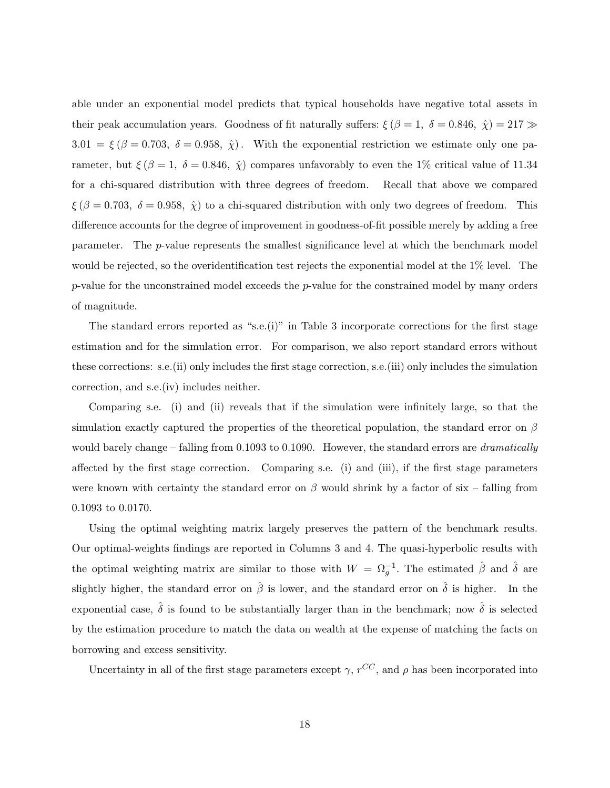able under an exponential model predicts that typical households have negative total assets in their peak accumulation years. Goodness of fit naturally suffers:  $\xi (\beta = 1, \delta = 0.846, \hat{\chi}) = 217 \gg$  $3.01 = \xi (\beta = 0.703, \delta = 0.958, \hat{\chi})$ . With the exponential restriction we estimate only one parameter, but  $\xi (\beta = 1, \delta = 0.846, \hat{\chi})$  compares unfavorably to even the 1% critical value of 11.34 for a chi-squared distribution with three degrees of freedom. Recall that above we compared  $\xi (\beta = 0.703, \delta = 0.958, \hat{\chi})$  to a chi-squared distribution with only two degrees of freedom. This difference accounts for the degree of improvement in goodness-of-fit possible merely by adding a free parameter. The p-value represents the smallest signicance level at which the benchmark model would be rejected, so the overidentification test rejects the exponential model at the  $1\%$  level. The  $p$ -value for the unconstrained model exceeds the  $p$ -value for the constrained model by many orders of magnitude.

The standard errors reported as "s.e. $(i)$ " in Table 3 incorporate corrections for the first stage estimation and for the simulation error. For comparison, we also report standard errors without these corrections: s.e.(ii) only includes the first stage correction, s.e.(iii) only includes the simulation correction, and s.e.(iv) includes neither.

Comparing s.e. (i) and (ii) reveals that if the simulation were infinitely large, so that the simulation exactly captured the properties of the theoretical population, the standard error on  $\beta$ would barely change – falling from 0.1093 to 0.1090. However, the standard errors are *dramatically* affected by the first stage correction. Comparing s.e. (i) and (iii), if the first stage parameters were known with certainty the standard error on  $\beta$  would shrink by a factor of six – falling from 0.1093 to 0.0170.

Using the optimal weighting matrix largely preserves the pattern of the benchmark results. Our optimal-weights findings are reported in Columns 3 and 4. The quasi-hyperbolic results with the optimal weighting matrix are similar to those with  $W = \Omega_g^{-1}$ . The estimated  $\hat{\beta}$  and  $\hat{\delta}$  are slightly higher, the standard error on  $\hat{\beta}$  is lower, and the standard error on  $\hat{\delta}$  is higher. In the exponential case,  $\hat{\delta}$  is found to be substantially larger than in the benchmark; now  $\hat{\delta}$  is selected by the estimation procedure to match the data on wealth at the expense of matching the facts on borrowing and excess sensitivity.

Uncertainty in all of the first stage parameters except  $\gamma$ ,  $r^{CC}$ , and  $\rho$  has been incorporated into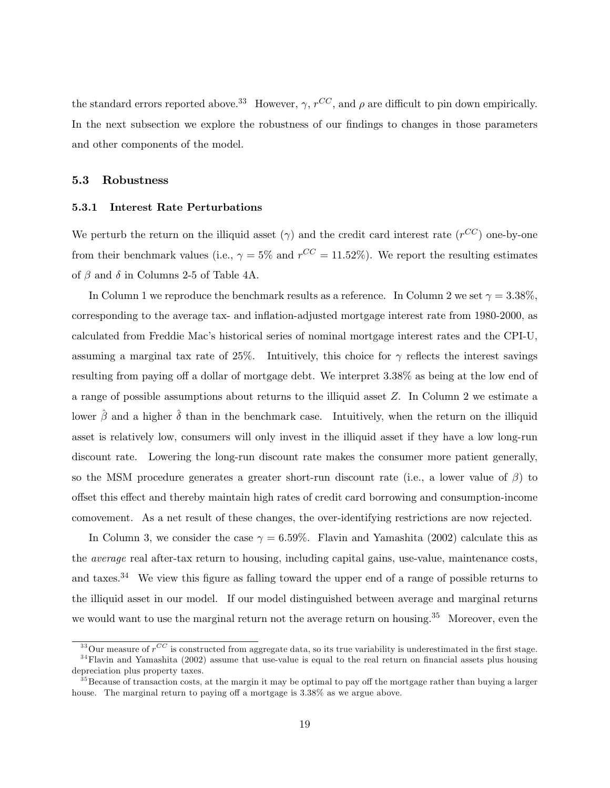the standard errors reported above.<sup>33</sup> However,  $\gamma$ ,  $r^{CC}$ , and  $\rho$  are difficult to pin down empirically. In the next subsection we explore the robustness of our findings to changes in those parameters and other components of the model.

#### 5.3 Robustness

#### 5.3.1 Interest Rate Perturbations

We perturb the return on the illiquid asset  $(\gamma)$  and the credit card interest rate  $(r^{CC})$  one-by-one from their benchmark values (i.e.,  $\gamma = 5\%$  and  $r^{CC} = 11.52\%$ ). We report the resulting estimates of  $\beta$  and  $\delta$  in Columns 2-5 of Table 4A.

In Column 1 we reproduce the benchmark results as a reference. In Column 2 we set  $\gamma = 3.38\%$ , corresponding to the average tax- and inflation-adjusted mortgage interest rate from 1980-2000, as calculated from Freddie Mac's historical series of nominal mortgage interest rates and the CPI-U, assuming a marginal tax rate of 25%. Intuitively, this choice for  $\gamma$  reflects the interest savings resulting from paying off a dollar of mortgage debt. We interpret 3.38% as being at the low end of a range of possible assumptions about returns to the illiquid asset Z: In Column 2 we estimate a lower  $\hat{\beta}$  and a higher  $\hat{\delta}$  than in the benchmark case. Intuitively, when the return on the illiquid asset is relatively low, consumers will only invest in the illiquid asset if they have a low long-run discount rate. Lowering the long-run discount rate makes the consumer more patient generally, so the MSM procedure generates a greater short-run discount rate (i.e., a lower value of  $\beta$ ) to offset this effect and thereby maintain high rates of credit card borrowing and consumption-income comovement. As a net result of these changes, the over-identifying restrictions are now rejected.

In Column 3, we consider the case  $\gamma = 6.59\%$ . Flavin and Yamashita (2002) calculate this as the average real after-tax return to housing, including capital gains, use-value, maintenance costs, and taxes.<sup>34</sup> We view this figure as falling toward the upper end of a range of possible returns to the illiquid asset in our model. If our model distinguished between average and marginal returns we would want to use the marginal return not the average return on housing.<sup>35</sup> Moreover, even the

<sup>&</sup>lt;sup>33</sup>Our measure of  $r^{CC}$  is constructed from aggregate data, so its true variability is underestimated in the first stage.  $34$  Flavin and Yamashita (2002) assume that use-value is equal to the real return on financial assets plus housing

depreciation plus property taxes.

 $35$ Because of transaction costs, at the margin it may be optimal to pay off the mortgage rather than buying a larger house. The marginal return to paying off a mortgage is  $3.38\%$  as we argue above.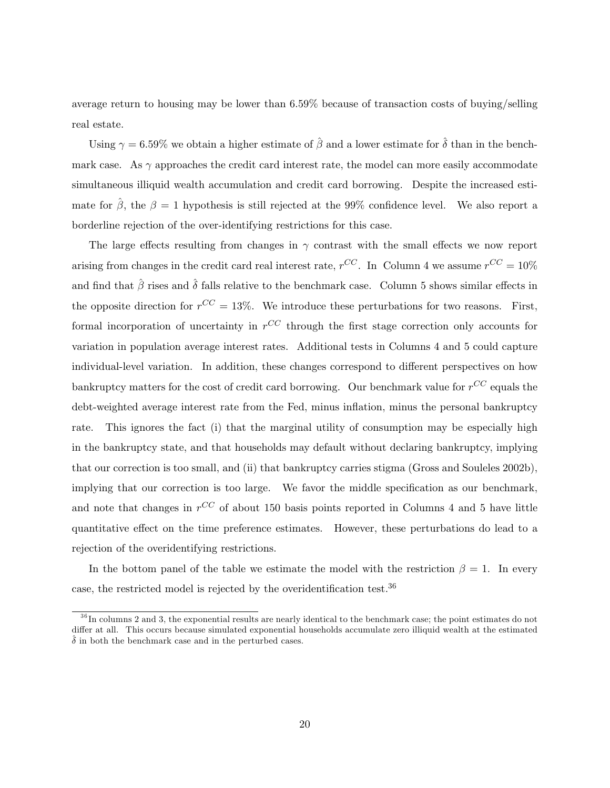average return to housing may be lower than 6.59% because of transaction costs of buying/selling real estate.

Using  $\gamma = 6.59\%$  we obtain a higher estimate of  $\hat{\beta}$  and a lower estimate for  $\hat{\delta}$  than in the benchmark case. As  $\gamma$  approaches the credit card interest rate, the model can more easily accommodate simultaneous illiquid wealth accumulation and credit card borrowing. Despite the increased estimate for  $\hat{\beta}$ , the  $\beta = 1$  hypothesis is still rejected at the 99% confidence level. We also report a borderline rejection of the over-identifying restrictions for this case.

The large effects resulting from changes in  $\gamma$  contrast with the small effects we now report arising from changes in the credit card real interest rate,  $r^{CC}$ . In Column 4 we assume  $r^{CC} = 10\%$ and find that  $\hat{\beta}$  rises and  $\hat{\delta}$  falls relative to the benchmark case. Column 5 shows similar effects in the opposite direction for  $r^{CC} = 13\%$ . We introduce these perturbations for two reasons. First, formal incorporation of uncertainty in  $r^{CC}$  through the first stage correction only accounts for variation in population average interest rates. Additional tests in Columns 4 and 5 could capture individual-level variation. In addition, these changes correspond to different perspectives on how bankruptcy matters for the cost of credit card borrowing. Our benchmark value for  $r^{CC}$  equals the debt-weighted average interest rate from the Fed, minus inflation, minus the personal bankruptcy rate. This ignores the fact (i) that the marginal utility of consumption may be especially high in the bankruptcy state, and that households may default without declaring bankruptcy, implying that our correction is too small, and (ii) that bankruptcy carries stigma (Gross and Souleles 2002b), implying that our correction is too large. We favor the middle specification as our benchmark, and note that changes in  $r^{CC}$  of about 150 basis points reported in Columns 4 and 5 have little quantitative effect on the time preference estimates. However, these perturbations do lead to a rejection of the overidentifying restrictions.

In the bottom panel of the table we estimate the model with the restriction  $\beta = 1$ . In every case, the restricted model is rejected by the overidentification test.<sup>36</sup>

 $36$  In columns 2 and 3, the exponential results are nearly identical to the benchmark case; the point estimates do not differ at all. This occurs because simulated exponential households accumulate zero illiquid wealth at the estimated  $\hat{\delta}$  in both the benchmark case and in the perturbed cases.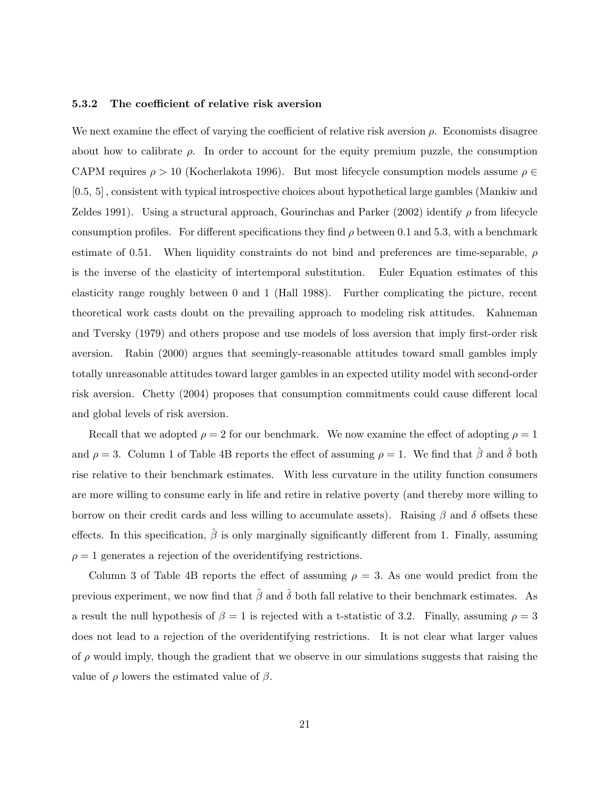#### 5.3.2 The coefficient of relative risk aversion

We next examine the effect of varying the coefficient of relative risk aversion  $\rho$ . Economists disagree about how to calibrate  $\rho$ . In order to account for the equity premium puzzle, the consumption CAPM requires  $\rho > 10$  (Kocherlakota 1996). But most lifecycle consumption models assume  $\rho \in$ [0:5; 5] ; consistent with typical introspective choices about hypothetical large gambles (Mankiw and Zeldes 1991). Using a structural approach, Gourinchas and Parker (2002) identify  $\rho$  from lifecycle consumption profiles. For different specifications they find  $\rho$  between 0.1 and 5.3, with a benchmark estimate of 0.51. When liquidity constraints do not bind and preferences are time-separable,  $\rho$ is the inverse of the elasticity of intertemporal substitution. Euler Equation estimates of this elasticity range roughly between 0 and 1 (Hall 1988). Further complicating the picture, recent theoretical work casts doubt on the prevailing approach to modeling risk attitudes. Kahneman and Tversky (1979) and others propose and use models of loss aversion that imply first-order risk aversion. Rabin (2000) argues that seemingly-reasonable attitudes toward small gambles imply totally unreasonable attitudes toward larger gambles in an expected utility model with second-order risk aversion. Chetty (2004) proposes that consumption commitments could cause different local and global levels of risk aversion.

Recall that we adopted  $\rho = 2$  for our benchmark. We now examine the effect of adopting  $\rho = 1$ and  $\rho = 3$ . Column 1 of Table 4B reports the effect of assuming  $\rho = 1$ . We find that  $\hat{\beta}$  and  $\hat{\delta}$  both rise relative to their benchmark estimates. With less curvature in the utility function consumers are more willing to consume early in life and retire in relative poverty (and thereby more willing to borrow on their credit cards and less willing to accumulate assets). Raising  $\beta$  and  $\delta$  offsets these effects. In this specification,  $\hat{\beta}$  is only marginally significantly different from 1. Finally, assuming  $\rho = 1$  generates a rejection of the overidentifying restrictions.

Column 3 of Table 4B reports the effect of assuming  $\rho = 3$ . As one would predict from the previous experiment, we now find that  $\hat{\beta}$  and  $\hat{\delta}$  both fall relative to their benchmark estimates. As a result the null hypothesis of  $\beta = 1$  is rejected with a t-statistic of 3.2. Finally, assuming  $\rho = 3$ does not lead to a rejection of the overidentifying restrictions. It is not clear what larger values of  $\rho$  would imply, though the gradient that we observe in our simulations suggests that raising the value of  $\rho$  lowers the estimated value of  $\beta$ .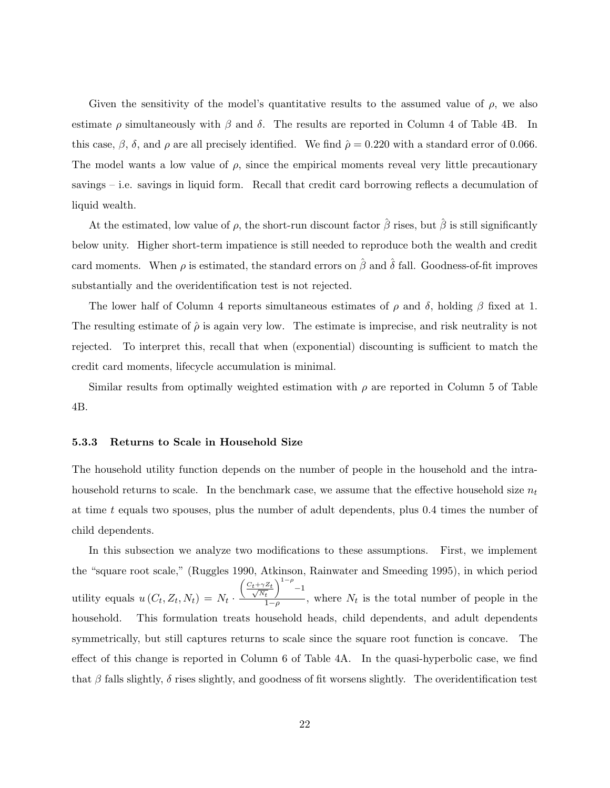Given the sensitivity of the model's quantitative results to the assumed value of  $\rho$ , we also estimate  $\rho$  simultaneously with  $\beta$  and  $\delta$ . The results are reported in Column 4 of Table 4B. In this case,  $\beta$ ,  $\delta$ , and  $\rho$  are all precisely identified. We find  $\hat{\rho} = 0.220$  with a standard error of 0.066. The model wants a low value of  $\rho$ , since the empirical moments reveal very little precautionary savings  $-$  i.e. savings in liquid form. Recall that credit card borrowing reflects a decumulation of liquid wealth.

At the estimated, low value of  $\rho$ , the short-run discount factor  $\hat{\beta}$  rises, but  $\hat{\beta}$  is still significantly below unity. Higher short-term impatience is still needed to reproduce both the wealth and credit card moments. When  $\rho$  is estimated, the standard errors on  $\hat{\beta}$  and  $\hat{\delta}$  fall. Goodness-of-fit improves substantially and the overidentification test is not rejected.

The lower half of Column 4 reports simultaneous estimates of  $\rho$  and  $\delta$ , holding  $\beta$  fixed at 1. The resulting estimate of  $\hat{\rho}$  is again very low. The estimate is imprecise, and risk neutrality is not rejected. To interpret this, recall that when (exponential) discounting is sufficient to match the credit card moments, lifecycle accumulation is minimal.

Similar results from optimally weighted estimation with  $\rho$  are reported in Column 5 of Table 4B.

#### 5.3.3 Returns to Scale in Household Size

The household utility function depends on the number of people in the household and the intrahousehold returns to scale. In the benchmark case, we assume that the effective household size  $n_t$ at time t equals two spouses, plus the number of adult dependents, plus 0.4 times the number of child dependents.

In this subsection we analyze two modifications to these assumptions. First, we implement the "square root scale," (Ruggles 1990, Atkinson, Rainwater and Smeeding 1995), in which period utility equals  $u(C_t, Z_t, N_t) = N_t$ .  $\left(\frac{C_t + \gamma Z_t}{\sqrt{N_t}}\right)$  $N_t$  $\sqrt{1-\rho}$  $^{-1}$  $\frac{t}{1-\rho}$ , where  $N_t$  is the total number of people in the household. This formulation treats household heads, child dependents, and adult dependents symmetrically, but still captures returns to scale since the square root function is concave. The effect of this change is reported in Column  $6$  of Table  $4A$ . In the quasi-hyperbolic case, we find that  $\beta$  falls slightly,  $\delta$  rises slightly, and goodness of fit worsens slightly. The overidentification test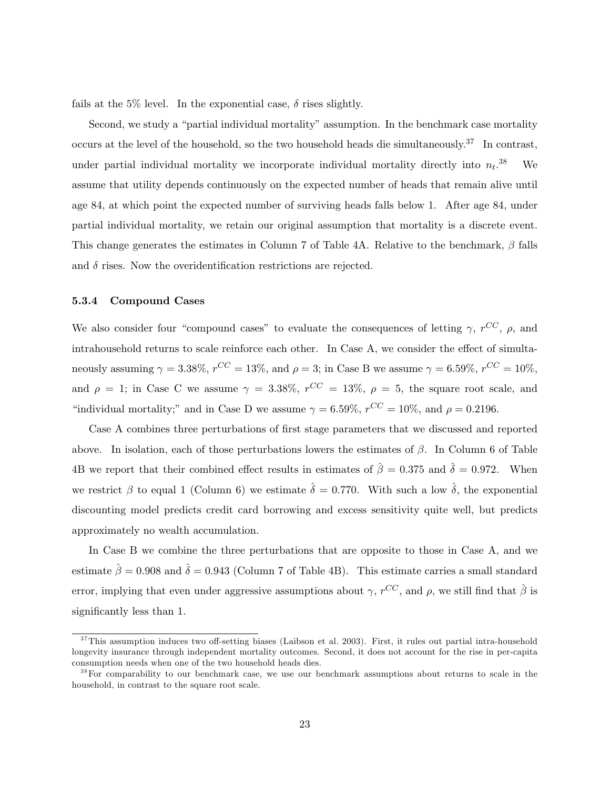fails at the 5% level. In the exponential case,  $\delta$  rises slightly.

Second, we study a "partial individual mortality" assumption. In the benchmark case mortality occurs at the level of the household, so the two household heads die simultaneously.<sup>37</sup> In contrast, under partial individual mortality we incorporate individual mortality directly into  $n_t$ . We assume that utility depends continuously on the expected number of heads that remain alive until age 84, at which point the expected number of surviving heads falls below 1. After age 84, under partial individual mortality, we retain our original assumption that mortality is a discrete event. This change generates the estimates in Column 7 of Table 4A. Relative to the benchmark,  $\beta$  falls and  $\delta$  rises. Now the overidentification restrictions are rejected.

#### 5.3.4 Compound Cases

We also consider four "compound cases" to evaluate the consequences of letting  $\gamma$ ,  $r^{CC}$ ,  $\rho$ , and intrahousehold returns to scale reinforce each other. In Case A, we consider the effect of simultaneously assuming  $\gamma = 3.38\%, r^{CC} = 13\%, \text{ and } \rho = 3$ ; in Case B we assume  $\gamma = 6.59\%, r^{CC} = 10\%,$ and  $\rho = 1$ ; in Case C we assume  $\gamma = 3.38\%$ ,  $r^{CC} = 13\%$ ,  $\rho = 5$ , the square root scale, and "individual mortality;" and in Case D we assume  $\gamma = 6.59\%$ ,  $r^{CC} = 10\%$ , and  $\rho = 0.2196$ .

Case A combines three perturbations of first stage parameters that we discussed and reported above. In isolation, each of those perturbations lowers the estimates of  $\beta$ . In Column 6 of Table 4B we report that their combined effect results in estimates of  $\hat{\beta} = 0.375$  and  $\hat{\delta} = 0.972$ . When we restrict  $\beta$  to equal 1 (Column 6) we estimate  $\hat{\delta} = 0.770$ . With such a low  $\hat{\delta}$ , the exponential discounting model predicts credit card borrowing and excess sensitivity quite well, but predicts approximately no wealth accumulation.

In Case B we combine the three perturbations that are opposite to those in Case A, and we estimate  $\hat{\beta} = 0.908$  and  $\hat{\delta} = 0.943$  (Column 7 of Table 4B). This estimate carries a small standard error, implying that even under aggressive assumptions about  $\gamma$ ,  $r^{CC}$ , and  $\rho$ , we still find that  $\hat{\beta}$  is significantly less than 1.

 $37$ This assumption induces two off-setting biases (Laibson et al. 2003). First, it rules out partial intra-household longevity insurance through independent mortality outcomes. Second, it does not account for the rise in per-capita consumption needs when one of the two household heads dies.

<sup>&</sup>lt;sup>38</sup>For comparability to our benchmark case, we use our benchmark assumptions about returns to scale in the household, in contrast to the square root scale.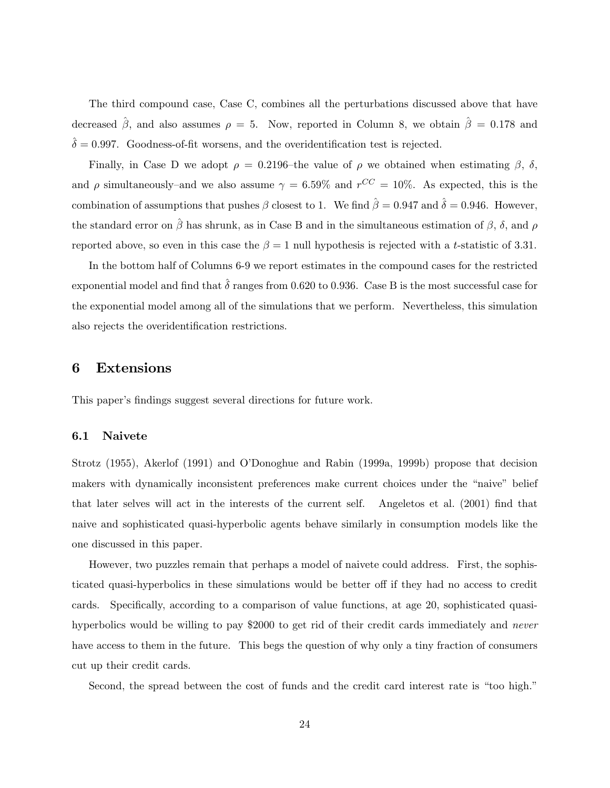The third compound case, Case C, combines all the perturbations discussed above that have decreased  $\hat{\beta}$ , and also assumes  $\rho = 5$ . Now, reported in Column 8, we obtain  $\hat{\beta} = 0.178$  and  $\hat{\delta} = 0.997.$  Goodness-of-fit worsens, and the overidentification test is rejected.

Finally, in Case D we adopt  $\rho = 0.2196$ -the value of  $\rho$  we obtained when estimating  $\beta$ ,  $\delta$ , and  $\rho$  simultaneously–and we also assume  $\gamma = 6.59\%$  and  $r^{CC} = 10\%$ . As expected, this is the combination of assumptions that pushes  $\beta$  closest to 1. We find  $\hat{\beta} = 0.947$  and  $\hat{\delta} = 0.946$ . However, the standard error on  $\hat{\beta}$  has shrunk, as in Case B and in the simultaneous estimation of  $\beta$ ,  $\delta$ , and  $\rho$ reported above, so even in this case the  $\beta = 1$  null hypothesis is rejected with a t-statistic of 3.31.

In the bottom half of Columns 6-9 we report estimates in the compound cases for the restricted exponential model and find that  $\hat{\delta}$  ranges from 0.620 to 0.936. Case B is the most successful case for the exponential model among all of the simulations that we perform. Nevertheless, this simulation also rejects the overidentification restrictions.

### 6 Extensions

This paper's findings suggest several directions for future work.

#### 6.1 Naivete

Strotz (1955), Akerlof (1991) and O'Donoghue and Rabin (1999a, 1999b) propose that decision makers with dynamically inconsistent preferences make current choices under the "naive" belief that later selves will act in the interests of the current self. Angeletos et al.  $(2001)$  find that naive and sophisticated quasi-hyperbolic agents behave similarly in consumption models like the one discussed in this paper.

However, two puzzles remain that perhaps a model of naivete could address. First, the sophisticated quasi-hyperbolics in these simulations would be better off if they had no access to credit cards. Specifically, according to a comparison of value functions, at age 20, sophisticated quasihyperbolics would be willing to pay \$2000 to get rid of their credit cards immediately and never have access to them in the future. This begs the question of why only a tiny fraction of consumers cut up their credit cards.

Second, the spread between the cost of funds and the credit card interest rate is "too high."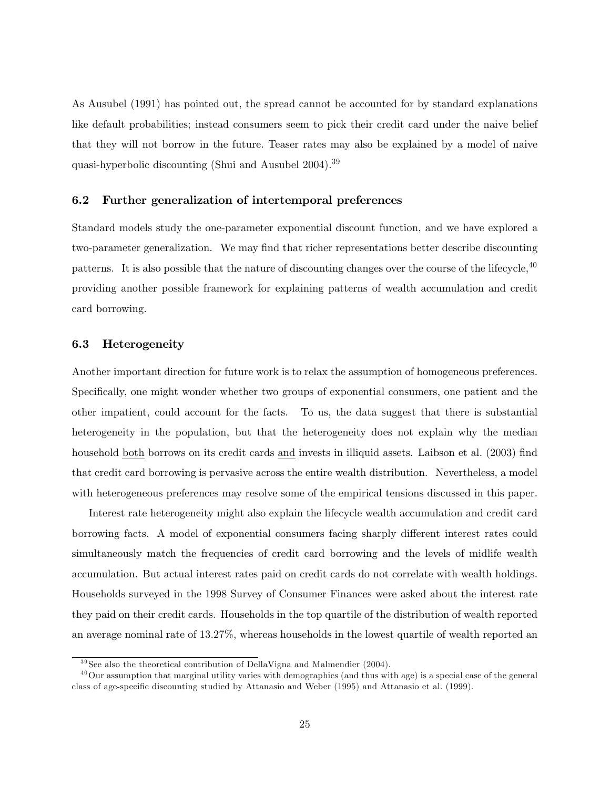As Ausubel (1991) has pointed out, the spread cannot be accounted for by standard explanations like default probabilities; instead consumers seem to pick their credit card under the naive belief that they will not borrow in the future. Teaser rates may also be explained by a model of naive quasi-hyperbolic discounting (Shui and Ausubel 2004).<sup>39</sup>

#### 6.2 Further generalization of intertemporal preferences

Standard models study the one-parameter exponential discount function, and we have explored a two-parameter generalization. We may find that richer representations better describe discounting patterns. It is also possible that the nature of discounting changes over the course of the lifecycle,<sup>40</sup> providing another possible framework for explaining patterns of wealth accumulation and credit card borrowing.

#### 6.3 Heterogeneity

Another important direction for future work is to relax the assumption of homogeneous preferences. Specifically, one might wonder whether two groups of exponential consumers, one patient and the other impatient, could account for the facts. To us, the data suggest that there is substantial heterogeneity in the population, but that the heterogeneity does not explain why the median household both borrows on its credit cards and invests in illiquid assets. Laibson et al. (2003) find that credit card borrowing is pervasive across the entire wealth distribution. Nevertheless, a model with heterogeneous preferences may resolve some of the empirical tensions discussed in this paper.

Interest rate heterogeneity might also explain the lifecycle wealth accumulation and credit card borrowing facts. A model of exponential consumers facing sharply different interest rates could simultaneously match the frequencies of credit card borrowing and the levels of midlife wealth accumulation. But actual interest rates paid on credit cards do not correlate with wealth holdings. Households surveyed in the 1998 Survey of Consumer Finances were asked about the interest rate they paid on their credit cards. Households in the top quartile of the distribution of wealth reported an average nominal rate of 13.27%, whereas households in the lowest quartile of wealth reported an

 $39$  See also the theoretical contribution of DellaVigna and Malmendier (2004).

 $^{40}$ Our assumption that marginal utility varies with demographics (and thus with age) is a special case of the general class of age-specific discounting studied by Attanasio and Weber (1995) and Attanasio et al. (1999).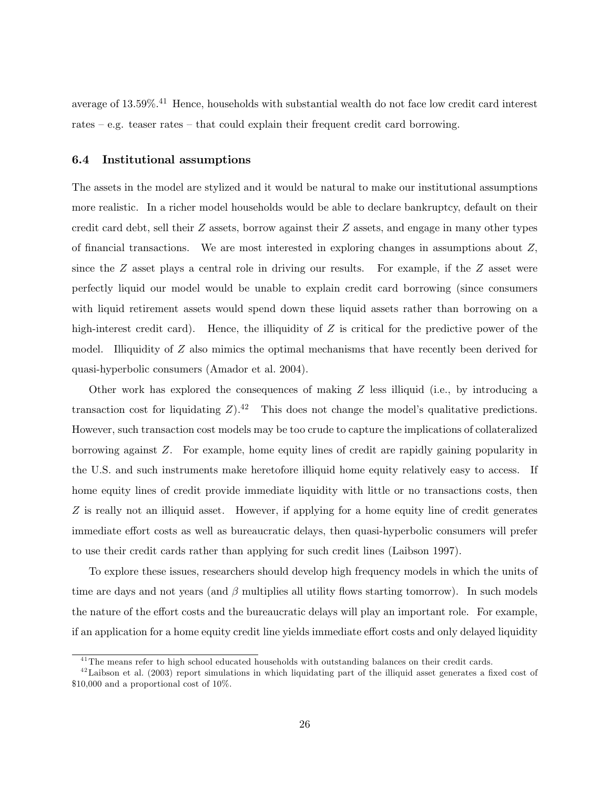average of 13.59%.<sup>41</sup> Hence, households with substantial wealth do not face low credit card interest rates  $-e.g.$  teaser rates  $-e.$  that could explain their frequent credit card borrowing.

#### 6.4 Institutional assumptions

The assets in the model are stylized and it would be natural to make our institutional assumptions more realistic. In a richer model households would be able to declare bankruptcy, default on their credit card debt, sell their Z assets, borrow against their Z assets, and engage in many other types of financial transactions. We are most interested in exploring changes in assumptions about  $Z$ , since the  $Z$  asset plays a central role in driving our results. For example, if the  $Z$  asset were perfectly liquid our model would be unable to explain credit card borrowing (since consumers with liquid retirement assets would spend down these liquid assets rather than borrowing on a high-interest credit card). Hence, the illiquidity of  $Z$  is critical for the predictive power of the model. Illiquidity of Z also mimics the optimal mechanisms that have recently been derived for quasi-hyperbolic consumers (Amador et al. 2004).

Other work has explored the consequences of making  $Z$  less illiquid (i.e., by introducing a transaction cost for liquidating  $Z$ ).<sup>42</sup> This does not change the model's qualitative predictions. However, such transaction cost models may be too crude to capture the implications of collateralized borrowing against Z. For example, home equity lines of credit are rapidly gaining popularity in the U.S. and such instruments make heretofore illiquid home equity relatively easy to access. If home equity lines of credit provide immediate liquidity with little or no transactions costs, then Z is really not an illiquid asset. However, if applying for a home equity line of credit generates immediate effort costs as well as bureaucratic delays, then quasi-hyperbolic consumers will prefer to use their credit cards rather than applying for such credit lines (Laibson 1997).

To explore these issues, researchers should develop high frequency models in which the units of time are days and not years (and  $\beta$  multiplies all utility flows starting tomorrow). In such models the nature of the effort costs and the bureaucratic delays will play an important role. For example, if an application for a home equity credit line yields immediate effort costs and only delayed liquidity

<sup>&</sup>lt;sup>41</sup>The means refer to high school educated households with outstanding balances on their credit cards.

 $^{42}$ Laibson et al. (2003) report simulations in which liquidating part of the illiquid asset generates a fixed cost of \$10,000 and a proportional cost of 10%.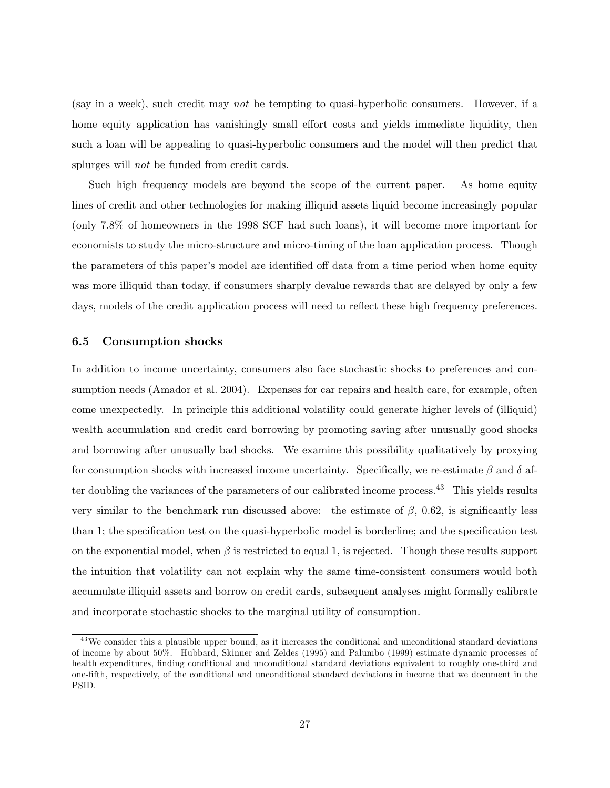(say in a week), such credit may not be tempting to quasi-hyperbolic consumers. However, if a home equity application has vanishingly small effort costs and yields immediate liquidity, then such a loan will be appealing to quasi-hyperbolic consumers and the model will then predict that splurges will *not* be funded from credit cards.

Such high frequency models are beyond the scope of the current paper. As home equity lines of credit and other technologies for making illiquid assets liquid become increasingly popular (only 7.8% of homeowners in the 1998 SCF had such loans), it will become more important for economists to study the micro-structure and micro-timing of the loan application process. Though the parameters of this paper's model are identified off data from a time period when home equity was more illiquid than today, if consumers sharply devalue rewards that are delayed by only a few days, models of the credit application process will need to reflect these high frequency preferences.

#### 6.5 Consumption shocks

In addition to income uncertainty, consumers also face stochastic shocks to preferences and consumption needs (Amador et al. 2004). Expenses for car repairs and health care, for example, often come unexpectedly. In principle this additional volatility could generate higher levels of (illiquid) wealth accumulation and credit card borrowing by promoting saving after unusually good shocks and borrowing after unusually bad shocks. We examine this possibility qualitatively by proxying for consumption shocks with increased income uncertainty. Specifically, we re-estimate  $\beta$  and  $\delta$  after doubling the variances of the parameters of our calibrated income process.<sup>43</sup> This yields results very similar to the benchmark run discussed above: the estimate of  $\beta$ , 0.62, is significantly less than 1; the specification test on the quasi-hyperbolic model is borderline; and the specification test on the exponential model, when  $\beta$  is restricted to equal 1, is rejected. Though these results support the intuition that volatility can not explain why the same time-consistent consumers would both accumulate illiquid assets and borrow on credit cards, subsequent analyses might formally calibrate and incorporate stochastic shocks to the marginal utility of consumption.

 $^{43}$ We consider this a plausible upper bound, as it increases the conditional and unconditional standard deviations of income by about 50%. Hubbard, Skinner and Zeldes (1995) and Palumbo (1999) estimate dynamic processes of health expenditures, finding conditional and unconditional standard deviations equivalent to roughly one-third and one-fth, respectively, of the conditional and unconditional standard deviations in income that we document in the PSID.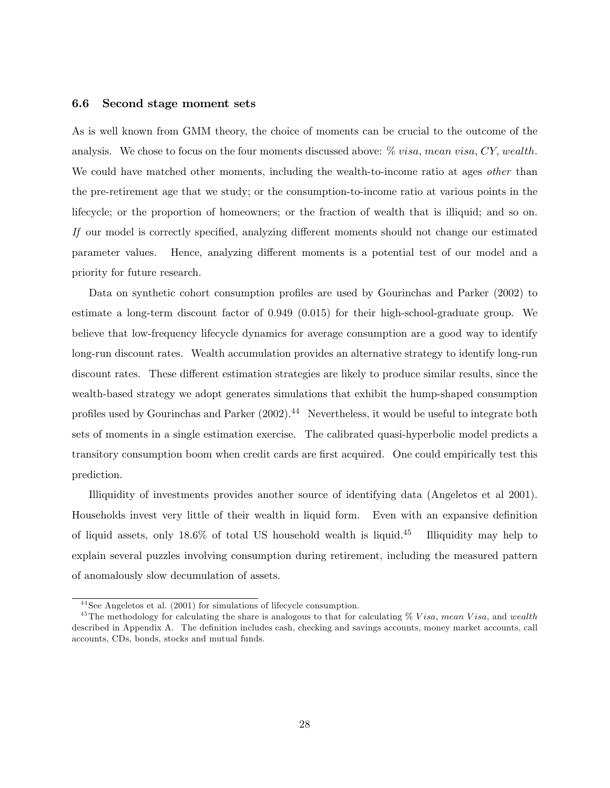#### 6.6 Second stage moment sets

As is well known from GMM theory, the choice of moments can be crucial to the outcome of the analysis. We chose to focus on the four moments discussed above:  $\%$  visa, mean visa, CY, wealth. We could have matched other moments, including the wealth-to-income ratio at ages *other* than the pre-retirement age that we study; or the consumption-to-income ratio at various points in the lifecycle; or the proportion of homeowners; or the fraction of wealth that is illiquid; and so on. If our model is correctly specified, analyzing different moments should not change our estimated parameter values. Hence, analyzing different moments is a potential test of our model and a priority for future research.

Data on synthetic cohort consumption profiles are used by Gourinchas and Parker (2002) to estimate a long-term discount factor of 0.949 (0.015) for their high-school-graduate group. We believe that low-frequency lifecycle dynamics for average consumption are a good way to identify long-run discount rates. Wealth accumulation provides an alternative strategy to identify long-run discount rates. These different estimation strategies are likely to produce similar results, since the wealth-based strategy we adopt generates simulations that exhibit the hump-shaped consumption profiles used by Gourinchas and Parker  $(2002).<sup>44</sup>$  Nevertheless, it would be useful to integrate both sets of moments in a single estimation exercise. The calibrated quasi-hyperbolic model predicts a transitory consumption boom when credit cards are first acquired. One could empirically test this prediction.

Illiquidity of investments provides another source of identifying data (Angeletos et al 2001). Households invest very little of their wealth in liquid form. Even with an expansive denition of liquid assets, only  $18.6\%$  of total US household wealth is liquid.<sup>45</sup> Illiquidity may help to explain several puzzles involving consumption during retirement, including the measured pattern of anomalously slow decumulation of assets.

<sup>&</sup>lt;sup>44</sup> See Angeletos et al. (2001) for simulations of lifecycle consumption.

<sup>&</sup>lt;sup>45</sup>The methodology for calculating the share is analogous to that for calculating  $\%$  Visa, mean Visa, and wealth described in Appendix A. The definition includes cash, checking and savings accounts, money market accounts, call accounts, CDs, bonds, stocks and mutual funds.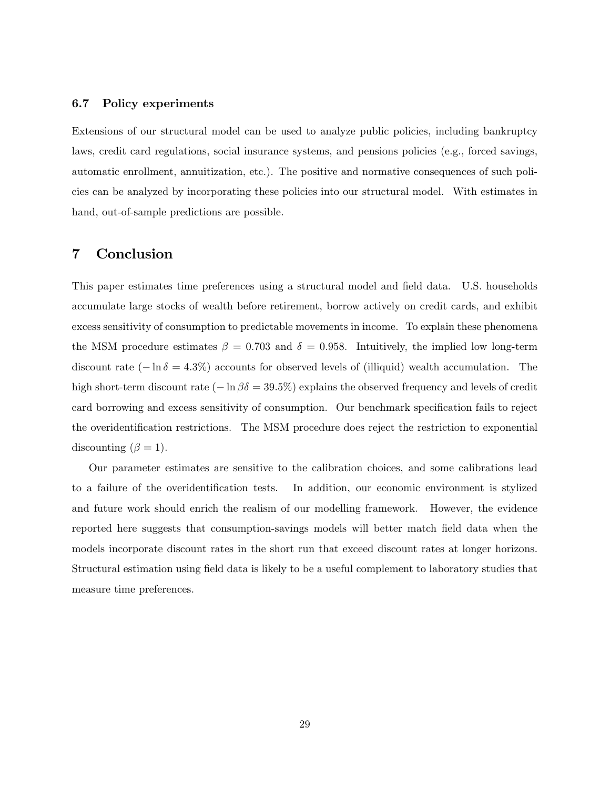#### 6.7 Policy experiments

Extensions of our structural model can be used to analyze public policies, including bankruptcy laws, credit card regulations, social insurance systems, and pensions policies (e.g., forced savings, automatic enrollment, annuitization, etc.). The positive and normative consequences of such policies can be analyzed by incorporating these policies into our structural model. With estimates in hand, out-of-sample predictions are possible.

### 7 Conclusion

This paper estimates time preferences using a structural model and field data. U.S. households accumulate large stocks of wealth before retirement, borrow actively on credit cards, and exhibit excess sensitivity of consumption to predictable movements in income. To explain these phenomena the MSM procedure estimates  $\beta = 0.703$  and  $\delta = 0.958$ . Intuitively, the implied low long-term discount rate  $(-\ln \delta = 4.3\%)$  accounts for observed levels of (illiquid) wealth accumulation. The high short-term discount rate  $(-\ln \beta \delta = 39.5\%)$  explains the observed frequency and levels of credit card borrowing and excess sensitivity of consumption. Our benchmark specification fails to reject the overidentification restrictions. The MSM procedure does reject the restriction to exponential discounting  $(\beta = 1)$ .

Our parameter estimates are sensitive to the calibration choices, and some calibrations lead to a failure of the overidentification tests. In addition, our economic environment is stylized and future work should enrich the realism of our modelling framework. However, the evidence reported here suggests that consumption-savings models will better match field data when the models incorporate discount rates in the short run that exceed discount rates at longer horizons. Structural estimation using field data is likely to be a useful complement to laboratory studies that measure time preferences.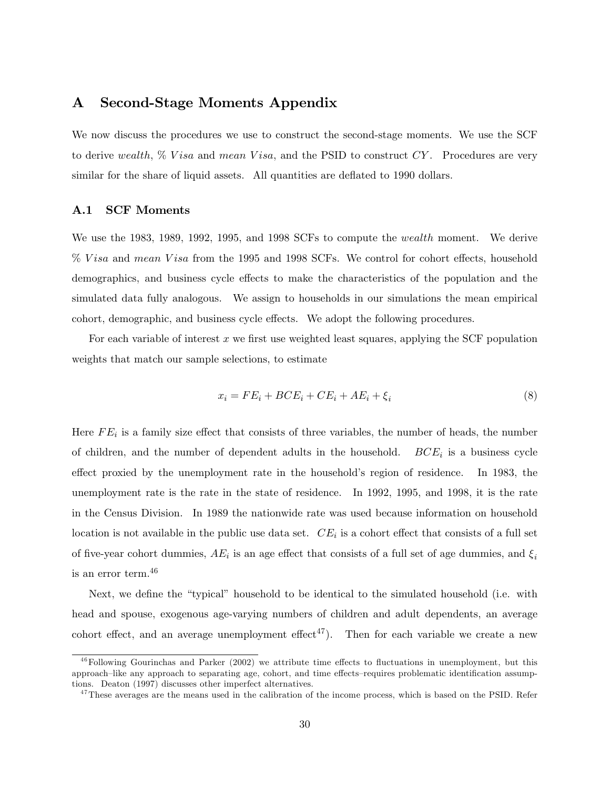### A Second-Stage Moments Appendix

We now discuss the procedures we use to construct the second-stage moments. We use the SCF to derive wealth,  $\%$  V isa and mean V isa, and the PSID to construct CY. Procedures are very similar for the share of liquid assets. All quantities are deflated to 1990 dollars.

#### A.1 SCF Moments

We use the 1983, 1989, 1992, 1995, and 1998 SCFs to compute the *wealth* moment. We derive % V isa and mean V isa from the 1995 and 1998 SCFs. We control for cohort effects, household demographics, and business cycle effects to make the characteristics of the population and the simulated data fully analogous. We assign to households in our simulations the mean empirical cohort, demographic, and business cycle effects. We adopt the following procedures.

For each variable of interest  $x$  we first use weighted least squares, applying the SCF population weights that match our sample selections, to estimate

$$
x_i = FE_i + BCE_i + CE_i + AE_i + \xi_i \tag{8}
$$

Here  $FE_i$  is a family size effect that consists of three variables, the number of heads, the number of children, and the number of dependent adults in the household.  $BCE_i$  is a business cycle effect proxied by the unemployment rate in the household's region of residence. In 1983, the unemployment rate is the rate in the state of residence. In 1992, 1995, and 1998, it is the rate in the Census Division. In 1989 the nationwide rate was used because information on household location is not available in the public use data set.  $CE_i$  is a cohort effect that consists of a full set of five-year cohort dummies,  $AE_i$  is an age effect that consists of a full set of age dummies, and  $\xi_i$ is an error term.<sup>46</sup>

Next, we define the "typical" household to be identical to the simulated household (i.e. with head and spouse, exogenous age-varying numbers of children and adult dependents, an average cohort effect, and an average unemployment effect<sup>47</sup>). Then for each variable we create a new

 $46$  Following Gourinchas and Parker (2002) we attribute time effects to fluctuations in unemployment, but this approach–like any approach to separating age, cohort, and time effects-requires problematic identification assumptions. Deaton (1997) discusses other imperfect alternatives.

 $47$ These averages are the means used in the calibration of the income process, which is based on the PSID. Refer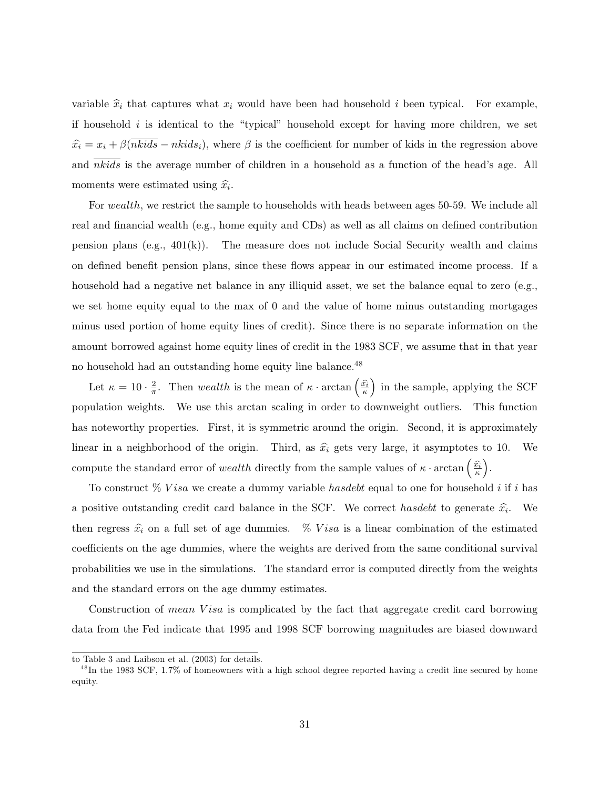variable  $\hat{x}_i$  that captures what  $x_i$  would have been had household i been typical. For example, if household  $i$  is identical to the "typical" household except for having more children, we set  $\hat{x}_i = x_i + \beta(\overline{nkids} - nkids_i)$ , where  $\beta$  is the coefficient for number of kids in the regression above and  $nkids$  is the average number of children in a household as a function of the head's age. All moments were estimated using  $\hat{x}_i$ .

For wealth, we restrict the sample to households with heads between ages 50-59. We include all real and financial wealth (e.g., home equity and CDs) as well as all claims on defined contribution pension plans (e.g.,  $401(k)$ ). The measure does not include Social Security wealth and claims on defined benefit pension plans, since these flows appear in our estimated income process. If a household had a negative net balance in any illiquid asset, we set the balance equal to zero (e.g., we set home equity equal to the max of 0 and the value of home minus outstanding mortgages minus used portion of home equity lines of credit). Since there is no separate information on the amount borrowed against home equity lines of credit in the 1983 SCF, we assume that in that year no household had an outstanding home equity line balance.<sup>48</sup>

Let  $\kappa = 10 \cdot \frac{2}{\pi}$ . Then wealth is the mean of  $\kappa \cdot \arctan \left( \frac{\hat{x}}{\kappa} \right)$ ) in the sample, applying the SCF population weights. We use this arctan scaling in order to downweight outliers. This function has noteworthy properties. First, it is symmetric around the origin. Second, it is approximately linear in a neighborhood of the origin. Third, as  $\hat{x}_i$  gets very large, it asymptotes to 10. We compute the standard error of *wealth* directly from the sample values of  $\kappa \cdot \arctan \left( \frac{\hat{x_i}}{\kappa} \right)$ .

To construct  $\%$  V is a we create a dummy variable has debt equal to one for household i if i has a positive outstanding credit card balance in the SCF. We correct has debt to generate  $\hat{x}_i$ . We then regress  $\hat{x}_i$  on a full set of age dummies.  $\%$  V is a linear combination of the estimated coefficients on the age dummies, where the weights are derived from the same conditional survival probabilities we use in the simulations. The standard error is computed directly from the weights and the standard errors on the age dummy estimates.

Construction of mean Visa is complicated by the fact that aggregate credit card borrowing data from the Fed indicate that 1995 and 1998 SCF borrowing magnitudes are biased downward

to Table 3 and Laibson et al. (2003) for details.

 $^{48}$ In the 1983 SCF, 1.7% of homeowners with a high school degree reported having a credit line secured by home equity.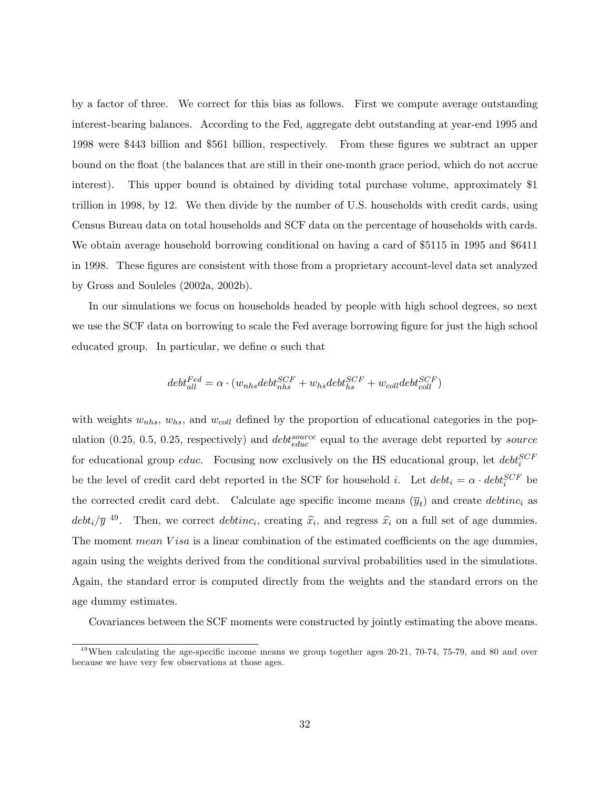by a factor of three. We correct for this bias as follows. First we compute average outstanding interest-bearing balances. According to the Fed, aggregate debt outstanding at year-end 1995 and 1998 were \$443 billion and \$561 billion, respectively. From these gures we subtract an upper bound on the float (the balances that are still in their one-month grace period, which do not accrue interest). This upper bound is obtained by dividing total purchase volume, approximately \$1 trillion in 1998, by 12. We then divide by the number of U.S. households with credit cards, using Census Bureau data on total households and SCF data on the percentage of households with cards. We obtain average household borrowing conditional on having a card of \$5115 in 1995 and \$6411 in 1998. These figures are consistent with those from a proprietary account-level data set analyzed by Gross and Souleles (2002a, 2002b).

In our simulations we focus on households headed by people with high school degrees, so next we use the SCF data on borrowing to scale the Fed average borrowing figure for just the high school educated group. In particular, we define  $\alpha$  such that

$$
debt_{all}^{Fed} = \alpha \cdot (w_{nhs}debt_{nhs}^{SCF} + w_{hs}debt_{hs}^{SCF} + w_{coll}debt_{coll}^{SCF})
$$

with weights  $w_{nhs}$ ,  $w_{hs}$ , and  $w_{coll}$  defined by the proportion of educational categories in the population (0.25, 0.5, 0.25, respectively) and  $debt_{educ}^{source}$  equal to the average debt reported by source for educational group *educ*. Focusing now exclusively on the HS educational group, let  $debt_i^{SCF}$ be the level of credit card debt reported in the SCF for household *i*. Let  $debt_i = \alpha \cdot debt_i^{SCF}$  be the corrected credit card debt. Calculate age specific income means  $(\bar{y}_t)$  and create *debtinc*<sub>i</sub> as  $debt_i/\bar{y}$ <sup>49</sup>. Then, we correct  $debtinc_i$ , creating  $\hat{x}_i$ , and regress  $\hat{x}_i$  on a full set of age dummies. The moment mean  $Visa$  is a linear combination of the estimated coefficients on the age dummies. again using the weights derived from the conditional survival probabilities used in the simulations. Again, the standard error is computed directly from the weights and the standard errors on the age dummy estimates.

Covariances between the SCF moments were constructed by jointly estimating the above means.

 $49$ When calculating the age-specific income means we group together ages 20-21, 70-74, 75-79, and 80 and over because we have very few observations at those ages.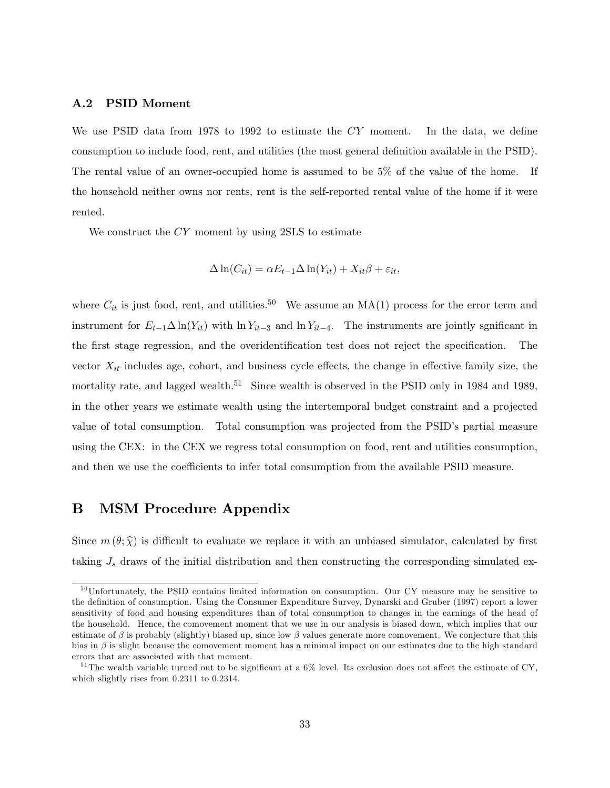#### A.2 PSID Moment

We use PSID data from 1978 to 1992 to estimate the  $CY$  moment. In the data, we define consumption to include food, rent, and utilities (the most general definition available in the PSID). The rental value of an owner-occupied home is assumed to be 5% of the value of the home. If the household neither owns nor rents, rent is the self-reported rental value of the home if it were rented.

We construct the CY moment by using 2SLS to estimate

$$
\Delta \ln(C_{it}) = \alpha E_{t-1} \Delta \ln(Y_{it}) + X_{it}\beta + \varepsilon_{it},
$$

where  $C_{it}$  is just food, rent, and utilities.<sup>50</sup> We assume an MA(1) process for the error term and instrument for  $E_{t-1} \Delta \ln(Y_{it})$  with  $\ln Y_{it-3}$  and  $\ln Y_{it-4}$ . The instruments are jointly sgnificant in the first stage regression, and the overidentification test does not reject the specification. The vector  $X_{it}$  includes age, cohort, and business cycle effects, the change in effective family size, the mortality rate, and lagged wealth.<sup>51</sup> Since wealth is observed in the PSID only in 1984 and 1989, in the other years we estimate wealth using the intertemporal budget constraint and a projected value of total consumption. Total consumption was projected from the PSID's partial measure using the CEX: in the CEX we regress total consumption on food, rent and utilities consumption, and then we use the coefficients to infer total consumption from the available PSID measure.

### B MSM Procedure Appendix

Since  $m(\theta; \hat{\chi})$  is difficult to evaluate we replace it with an unbiased simulator, calculated by first taking  $J_s$  draws of the initial distribution and then constructing the corresponding simulated ex-

<sup>&</sup>lt;sup>50</sup>Unfortunately, the PSID contains limited information on consumption. Our CY measure may be sensitive to the definition of consumption. Using the Consumer Expenditure Survey, Dynarski and Gruber (1997) report a lower sensitivity of food and housing expenditures than of total consumption to changes in the earnings of the head of the household. Hence, the comovement moment that we use in our analysis is biased down, which implies that our estimate of  $\beta$  is probably (slightly) biased up, since low  $\beta$  values generate more comovement. We conjecture that this bias in  $\beta$  is slight because the comovement moment has a minimal impact on our estimates due to the high standard errors that are associated with that moment.

<sup>&</sup>lt;sup>51</sup>The wealth variable turned out to be significant at a  $6\%$  level. Its exclusion does not affect the estimate of CY, which slightly rises from 0.2311 to 0.2314.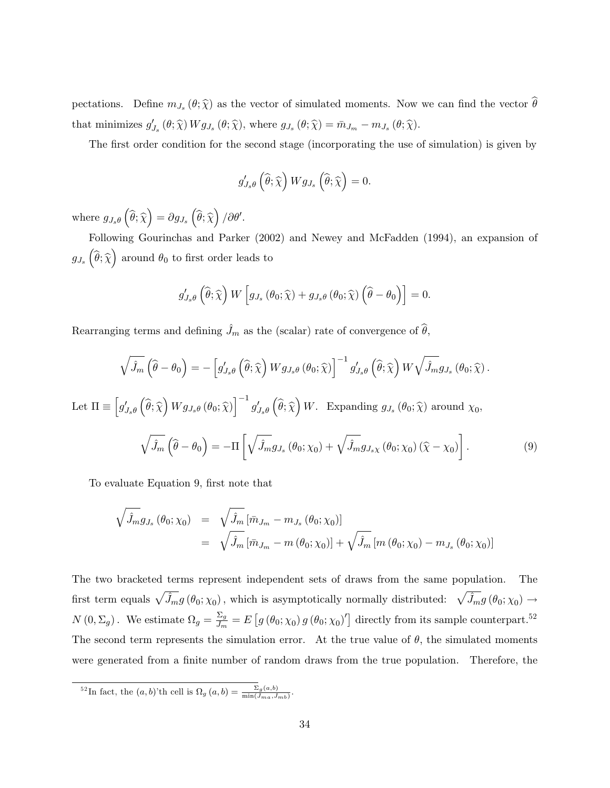pectations. Define  $m_{J_s}(\theta; \hat{\chi})$  as the vector of simulated moments. Now we can find the vector  $\theta$ that minimizes  $g'_{J_s}(\theta; \hat{\chi}) W g_{J_s}(\theta; \hat{\chi})$ , where  $g_{J_s}(\theta; \hat{\chi}) = \bar{m}_{J_m} - m_{J_s}(\theta; \hat{\chi})$ .

The first order condition for the second stage (incorporating the use of simulation) is given by

$$
g'_{J_s\theta}\left(\widehat{\theta};\widehat{\chi}\right)Wg_{J_s}\left(\widehat{\theta};\widehat{\chi}\right)=0.
$$

where  $g_{J_s\theta}(\widehat{\theta}; \widehat{\chi}) = \partial g_{J_s}(\widehat{\theta}; \widehat{\chi})/\partial \theta'.$ 

Following Gourinchas and Parker (2002) and Newey and McFadden (1994), an expansion of  $g_{J_s}\left(\widehat{\theta};\widehat{\chi}\right)$  around  $\theta_0$  to first order leads to

$$
g_{J_s\theta}'\left(\widehat{\theta};\widehat{\chi}\right)W\left[g_{J_s}\left(\theta_0;\widehat{\chi}\right)+g_{J_s\theta}\left(\theta_0;\widehat{\chi}\right)\left(\widehat{\theta}-\theta_0\right)\right]=0.
$$

Rearranging terms and defining  $\hat{J}_m$  as the (scalar) rate of convergence of  $\hat{\theta}$ ,

$$
\sqrt{\hat{J}_m} \left( \hat{\theta} - \theta_0 \right) = - \left[ g'_{J_s \theta} \left( \hat{\theta}; \hat{\chi} \right) W g_{J_s \theta} \left( \theta_0; \hat{\chi} \right) \right]^{-1} g'_{J_s \theta} \left( \hat{\theta}; \hat{\chi} \right) W \sqrt{\hat{J}_m} g_{J_s} \left( \theta_0; \hat{\chi} \right).
$$
  
Let  $\Pi \equiv \left[ g'_{J_s \theta} \left( \hat{\theta}; \hat{\chi} \right) W g_{J_s \theta} \left( \theta_0; \hat{\chi} \right) \right]^{-1} g'_{J_s \theta} \left( \hat{\theta}; \hat{\chi} \right) W.$  Expanding  $g_{J_s} \left( \theta_0; \hat{\chi} \right)$  around  $\chi_0$ ,  

$$
\sqrt{\hat{J}_m} \left( \hat{\theta} - \theta_0 \right) = -\Pi \left[ \sqrt{\hat{J}_m} g_{J_s} \left( \theta_0; \chi_0 \right) + \sqrt{\hat{J}_m} g_{J_s \chi} \left( \theta_0; \chi_0 \right) \left( \hat{\chi} - \chi_0 \right) \right].
$$
 (9)

To evaluate Equation 9, first note that

$$
\sqrt{\hat{J}_m} g_{J_s} (\theta_0; \chi_0) = \sqrt{\hat{J}_m} [\bar{m}_{J_m} - m_{J_s} (\theta_0; \chi_0)]
$$
  
=  $\sqrt{\hat{J}_m} [\bar{m}_{J_m} - m (\theta_0; \chi_0)] + \sqrt{\hat{J}_m} [m (\theta_0; \chi_0) - m_{J_s} (\theta_0; \chi_0)]$ 

The two bracketed terms represent independent sets of draws from the same population. The first term equals  $\sqrt{\hat{J}_m} g(\theta_0; \chi_0)$ , which is asymptotically normally distributed:  $\sqrt{\hat{J}_m} g(\theta_0; \chi_0) \rightarrow$  $N(0,\Sigma_g)$ . We estimate  $\Omega_g = \frac{\Sigma_g}{J_m}$  $\frac{\Sigma_g}{J_m} = E\left[g\left(\theta_0; \chi_0\right)g\left(\theta_0; \chi_0\right)'\right]$  directly from its sample counterpart.<sup>52</sup> The second term represents the simulation error. At the true value of  $\theta$ , the simulated moments were generated from a finite number of random draws from the true population. Therefore, the

<sup>&</sup>lt;sup>52</sup>In fact, the  $(a, b)$ 'th cell is  $\Omega_g(a, b) = \frac{\Sigma_g(a, b)}{\min(J_{ma}, J_{mb})}$ .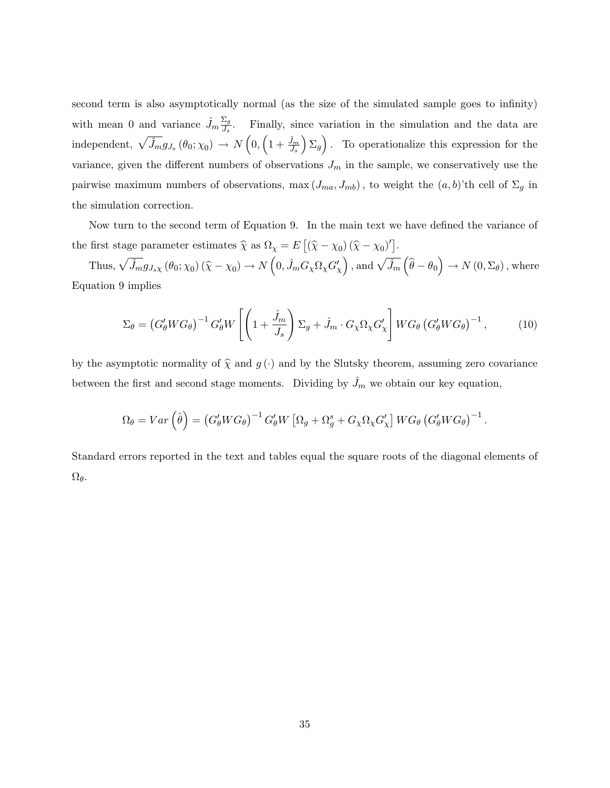second term is also asymptotically normal (as the size of the simulated sample goes to infinity) with mean 0 and variance  $\hat{J}_m \frac{\Sigma_g}{J_s}$  $\frac{\Sigma_g}{J_s}$ . Finally, since variation in the simulation and the data are independent,  $\sqrt{\hat{J}_m} g_{J_s} (\theta_0; \chi_0) \rightarrow N \left( 0, \left( 1 + \frac{\hat{J}_m}{J_s} \right) \right)$  $\left( \sum_{g} \right)$ . To operationalize this expression for the variance, given the different numbers of observations  $J_m$  in the sample, we conservatively use the pairwise maximum numbers of observations,  $\max(J_{ma}, J_{mb})$ , to weight the  $(a, b)$ 'th cell of  $\Sigma_g$  in the simulation correction:

Now turn to the second term of Equation 9. In the main text we have defined the variance of the first stage parameter estimates  $\hat{\chi}$  as  $\Omega_{\chi} = E[(\hat{\chi} - \chi_0)(\hat{\chi} - \chi_0)']$ .

Thus,  $\sqrt{\hat{J}_m} g_{J_s\chi} (\theta_0; \chi_0) (\hat{\chi} - \chi_0) \to N\left(0, \hat{J}_m G_{\chi} \Omega_{\chi} G'_{\chi}\right)$ , and  $\sqrt{\hat{J}_m} (\hat{\theta} - \theta_0) \to N(0, \Sigma_{\theta})$ , where Equation 9 implies

$$
\Sigma_{\theta} = \left(G_{\theta}'WG_{\theta}\right)^{-1} G_{\theta}'W\left[\left(1 + \frac{\hat{J}_m}{J_s}\right)\Sigma_g + \hat{J}_m \cdot G_{\chi}\Omega_{\chi}G_{\chi}'\right]WG_{\theta}\left(G_{\theta}'WG_{\theta}\right)^{-1},\tag{10}
$$

by the asymptotic normality of  $\hat{\chi}$  and  $g(\cdot)$  and by the Slutsky theorem, assuming zero covariance between the first and second stage moments. Dividing by  $\hat{J}_m$  we obtain our key equation,

$$
\Omega_{\theta} = Var\left(\hat{\theta}\right) = \left(G'_{\theta}WG_{\theta}\right)^{-1} G'_{\theta}W\left[\Omega_{g} + \Omega_{g}^{s} + G_{\chi}\Omega_{\chi}G'_{\chi}\right]WG_{\theta}\left(G'_{\theta}WG_{\theta}\right)^{-1}.
$$

Standard errors reported in the text and tables equal the square roots of the diagonal elements of  $\Omega_\theta.$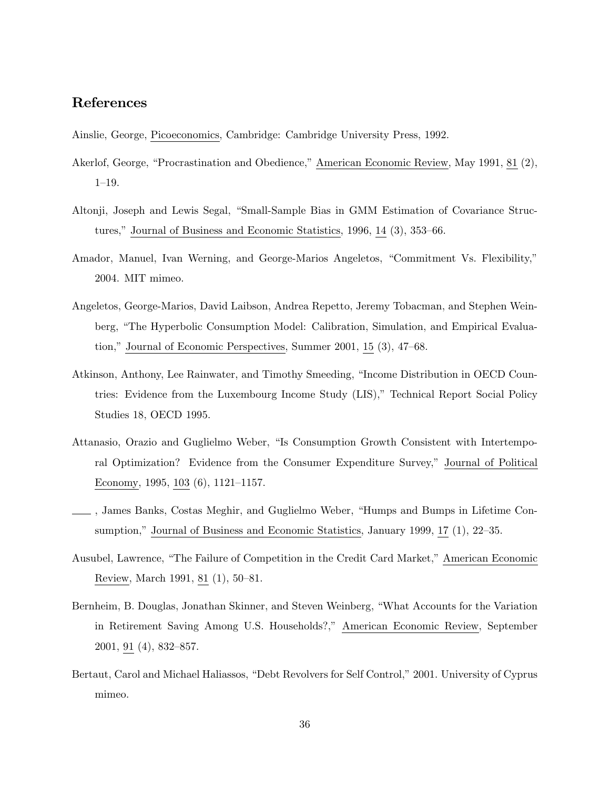### References

Ainslie, George, Picoeconomics, Cambridge: Cambridge University Press, 1992.

- Akerlof, George, "Procrastination and Obedience," American Economic Review, May 1991, 81 (2),  $1 - 19$ .
- Altonji, Joseph and Lewis Segal, "Small-Sample Bias in GMM Estimation of Covariance Structures," Journal of Business and Economic Statistics,  $1996, 14$  (3),  $353-66$ .
- Amador, Manuel, Ivan Werning, and George-Marios Angeletos, "Commitment Vs. Flexibility," 2004. MIT mimeo.
- Angeletos, George-Marios, David Laibson, Andrea Repetto, Jeremy Tobacman, and Stephen Weinberg, The Hyperbolic Consumption Model: Calibration, Simulation, and Empirical Evaluation," Journal of Economic Perspectives, Summer  $2001$ ,  $15$   $(3)$ ,  $47-68$ .
- Atkinson, Anthony, Lee Rainwater, and Timothy Smeeding, "Income Distribution in OECD Countries: Evidence from the Luxembourg Income Study (LIS)," Technical Report Social Policy Studies 18, OECD 1995.
- Attanasio, Orazio and Guglielmo Weber, "Is Consumption Growth Consistent with Intertemporal Optimization? Evidence from the Consumer Expenditure Survey," Journal of Political Economy, 1995, 103  $(6)$ , 1121–1157.
- , James Banks, Costas Meghir, and Guglielmo Weber, Humps and Bumps in Lifetime Consumption," Journal of Business and Economic Statistics, January 1999, 17 (1), 22-35.
- Ausubel, Lawrence, "The Failure of Competition in the Credit Card Market," American Economic Review, March 1991, 81 (1), 50–81.
- Bernheim, B. Douglas, Jonathan Skinner, and Steven Weinberg, What Accounts for the Variation in Retirement Saving Among U.S. Households?," American Economic Review, September  $2001, 91 (4), 832 - 857.$
- Bertaut, Carol and Michael Haliassos, "Debt Revolvers for Self Control," 2001. University of Cyprus mimeo.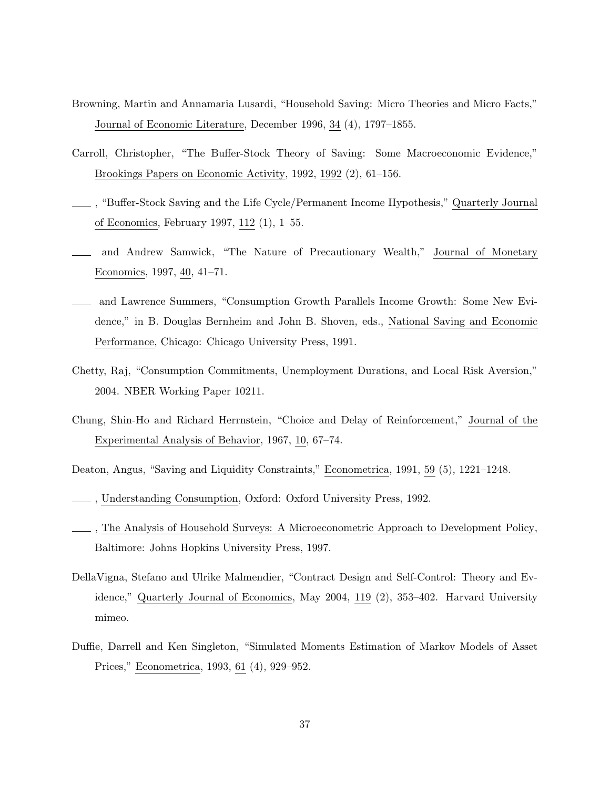- Browning, Martin and Annamaria Lusardi, "Household Saving: Micro Theories and Micro Facts," Journal of Economic Literature, December 1996, 34  $(4)$ , 1797–1855.
- Carroll, Christopher, "The Buffer-Stock Theory of Saving: Some Macroeconomic Evidence," Brookings Papers on Economic Activity,  $1992$ ,  $1992$   $(2)$ ,  $61-156$ .
- , Bu¤er-Stock Saving and the Life Cycle/Permanent Income Hypothesis, Quarterly Journal of Economics, February 1997, 112 (1), 1-55.
- and Andrew Samwick, "The Nature of Precautionary Wealth," Journal of Monetary Economics, 1997, 40, 41–71.
- and Lawrence Summers, Consumption Growth Parallels Income Growth: Some New Evidence," in B. Douglas Bernheim and John B. Shoven, eds., National Saving and Economic Performance, Chicago: Chicago University Press, 1991.
- Chetty, Raj, "Consumption Commitments, Unemployment Durations, and Local Risk Aversion," 2004. NBER Working Paper 10211.
- Chung, Shin-Ho and Richard Herrnstein, "Choice and Delay of Reinforcement," Journal of the Experimental Analysis of Behavior, 1967, 10, 67–74.
- Deaton, Angus, "Saving and Liquidity Constraints," Econometrica, 1991, 59 (5), 1221-1248.
- , Understanding Consumption, Oxford: Oxford University Press, 1992.
- , The Analysis of Household Surveys: A Microeconometric Approach to Development Policy, Baltimore: Johns Hopkins University Press, 1997.
- DellaVigna, Stefano and Ulrike Malmendier, Contract Design and Self-Control: Theory and Evidence," Quarterly Journal of Economics, May 2004, 119 (2), 353-402. Harvard University mimeo.
- Duffie, Darrell and Ken Singleton, "Simulated Moments Estimation of Markov Models of Asset Prices," Econometrica, 1993, 61 (4), 929–952.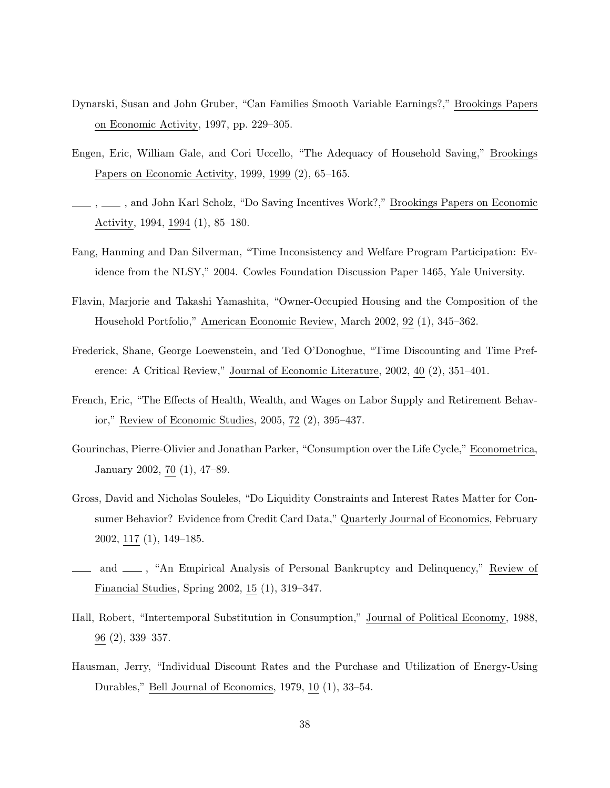- Dynarski, Susan and John Gruber, "Can Families Smooth Variable Earnings?," Brookings Papers on Economic Activity, 1997, pp. 229–305.
- Engen, Eric, William Gale, and Cori Uccello, "The Adequacy of Household Saving," Brookings Papers on Economic Activity, 1999, 1999  $(2)$ , 65-165.
- , , and John Karl Scholz, "Do Saving Incentives Work?," Brookings Papers on Economic Activity, 1994, 1994  $(1)$ , 85-180.
- Fang, Hanming and Dan Silverman, "Time Inconsistency and Welfare Program Participation: Evidence from the NLSY, 2004. Cowles Foundation Discussion Paper 1465, Yale University.
- Flavin, Marjorie and Takashi Yamashita, "Owner-Occupied Housing and the Composition of the Household Portfolio," American Economic Review, March 2002, 92 (1), 345–362.
- Frederick, Shane, George Loewenstein, and Ted O'Donoghue, "Time Discounting and Time Preference: A Critical Review," Journal of Economic Literature,  $2002, 40$  (2),  $351-401$ .
- French, Eric, "The Effects of Health, Wealth, and Wages on Labor Supply and Retirement Behavior," Review of Economic Studies, 2005, 72 (2), 395-437.
- Gourinchas, Pierre-Olivier and Jonathan Parker, "Consumption over the Life Cycle," Econometrica, January 2002, 70  $(1)$ , 47-89.
- Gross, David and Nicholas Souleles, "Do Liquidity Constraints and Interest Rates Matter for Consumer Behavior? Evidence from Credit Card Data," Quarterly Journal of Economics, February  $2002, 117(1), 149-185.$
- and  $\mu$ , "An Empirical Analysis of Personal Bankruptcy and Delinquency," Review of Financial Studies, Spring 2002, 15  $(1)$ , 319-347.
- Hall, Robert, "Intertemporal Substitution in Consumption," Journal of Political Economy, 1988,  $96(2), 339 - 357.$
- Hausman, Jerry, "Individual Discount Rates and the Purchase and Utilization of Energy-Using Durables," Bell Journal of Economics,  $1979, 10$  (1),  $33-54$ .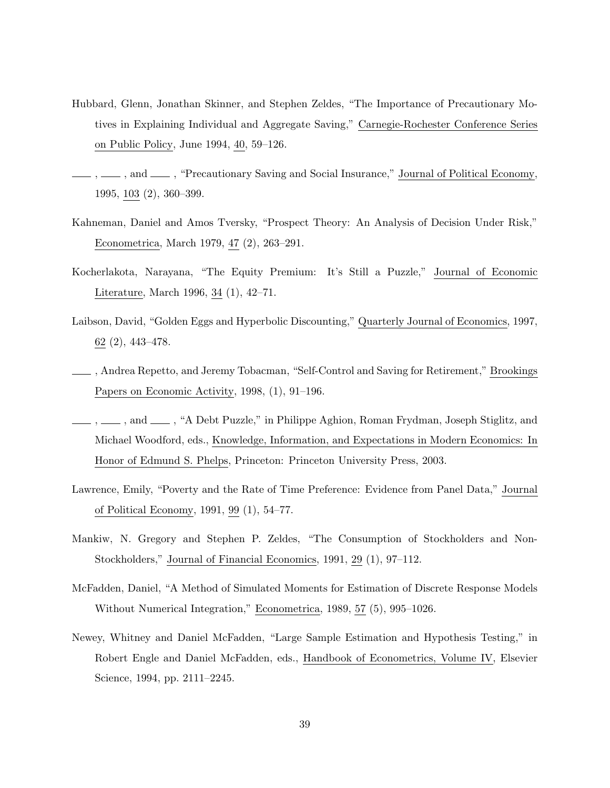- Hubbard, Glenn, Jonathan Skinner, and Stephen Zeldes, "The Importance of Precautionary Motives in Explaining Individual and Aggregate Saving," Carnegie-Rochester Conference Series on Public Policy, June 1994, 40, 59–126.
- ,  $\frac{1}{100}$ , and  $\frac{1}{100}$ , "Precautionary Saving and Social Insurance," Journal of Political Economy, 1995, 103 (2), 360-399.
- Kahneman, Daniel and Amos Tversky, "Prospect Theory: An Analysis of Decision Under Risk," Econometrica, March 1979, 47 (2), 263-291.
- Kocherlakota, Narayana, "The Equity Premium: It's Still a Puzzle," Journal of Economic Literature, March 1996, 34  $(1)$ , 42–71.
- Laibson, David, "Golden Eggs and Hyperbolic Discounting," Quarterly Journal of Economics, 1997,  $62(2), 443-478.$
- $\_\_\_\$ , Andrea Repetto, and Jeremy Tobacman, "Self-Control and Saving for Retirement," Brookings Papers on Economic Activity,  $1998, (1), 91-196.$
- $, \_\_\_\$ , and  $\_\_\_\$ , "A Debt Puzzle," in Philippe Aghion, Roman Frydman, Joseph Stiglitz, and Michael Woodford, eds., Knowledge, Information, and Expectations in Modern Economics: In Honor of Edmund S. Phelps, Princeton: Princeton University Press, 2003.
- Lawrence, Emily, "Poverty and the Rate of Time Preference: Evidence from Panel Data," Journal of Political Economy, 1991, 99 (1), 54-77.
- Mankiw, N. Gregory and Stephen P. Zeldes, "The Consumption of Stockholders and Non-Stockholders," Journal of Financial Economics, 1991, 29 (1), 97–112.
- McFadden, Daniel, "A Method of Simulated Moments for Estimation of Discrete Response Models Without Numerical Integration," Econometrica, 1989, 57 (5), 995-1026.
- Newey, Whitney and Daniel McFadden, "Large Sample Estimation and Hypothesis Testing," in Robert Engle and Daniel McFadden, eds., Handbook of Econometrics, Volume IV, Elsevier Science, 1994, pp. 2111-2245.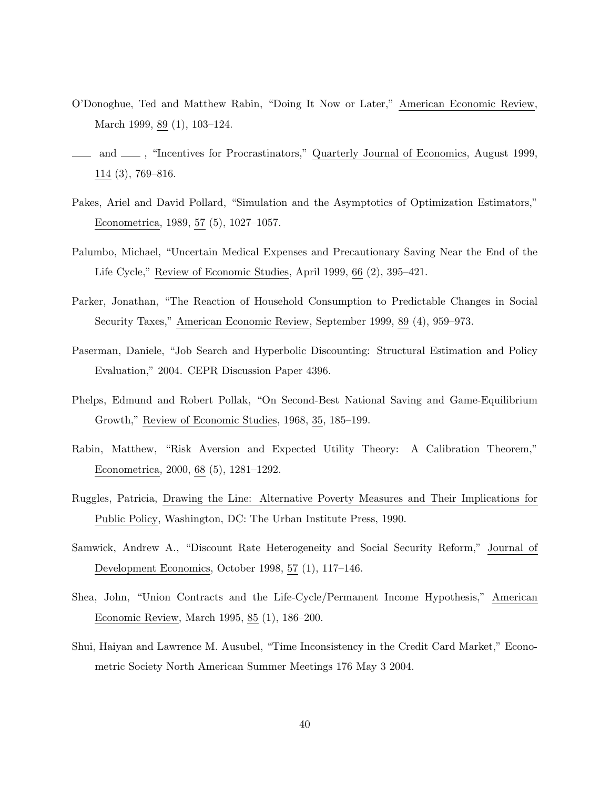- O'Donoghue, Ted and Matthew Rabin, "Doing It Now or Later," American Economic Review, March 1999, 89 (1), 103-124.
- and  $\mu$ , "Incentives for Procrastinators," Quarterly Journal of Economics, August 1999,  $114$   $(3)$ , 769-816.
- Pakes, Ariel and David Pollard, "Simulation and the Asymptotics of Optimization Estimators," Econometrica, 1989, 57  $(5)$ , 1027-1057.
- Palumbo, Michael, Uncertain Medical Expenses and Precautionary Saving Near the End of the Life Cycle," Review of Economic Studies, April 1999, 66  $(2)$ , 395-421.
- Parker, Jonathan, "The Reaction of Household Consumption to Predictable Changes in Social Security Taxes," American Economic Review, September 1999, 89 (4), 959–973.
- Paserman, Daniele, "Job Search and Hyperbolic Discounting: Structural Estimation and Policy Evaluation," 2004. CEPR Discussion Paper 4396.
- Phelps, Edmund and Robert Pollak, "On Second-Best National Saving and Game-Equilibrium Growth," Review of Economic Studies, 1968, 35, 185–199.
- Rabin, Matthew, "Risk Aversion and Expected Utility Theory: A Calibration Theorem," Econometrica, 2000, 68  $(5)$ , 1281-1292.
- Ruggles, Patricia, Drawing the Line: Alternative Poverty Measures and Their Implications for Public Policy, Washington, DC: The Urban Institute Press, 1990.
- Samwick, Andrew A., "Discount Rate Heterogeneity and Social Security Reform," Journal of Development Economics, October 1998, 57 $(1)$ , 117-146.
- Shea, John, "Union Contracts and the Life-Cycle/Permanent Income Hypothesis," American Economic Review, March 1995, 85 (1), 186-200.
- Shui, Haiyan and Lawrence M. Ausubel, "Time Inconsistency in the Credit Card Market," Econometric Society North American Summer Meetings 176 May 3 2004.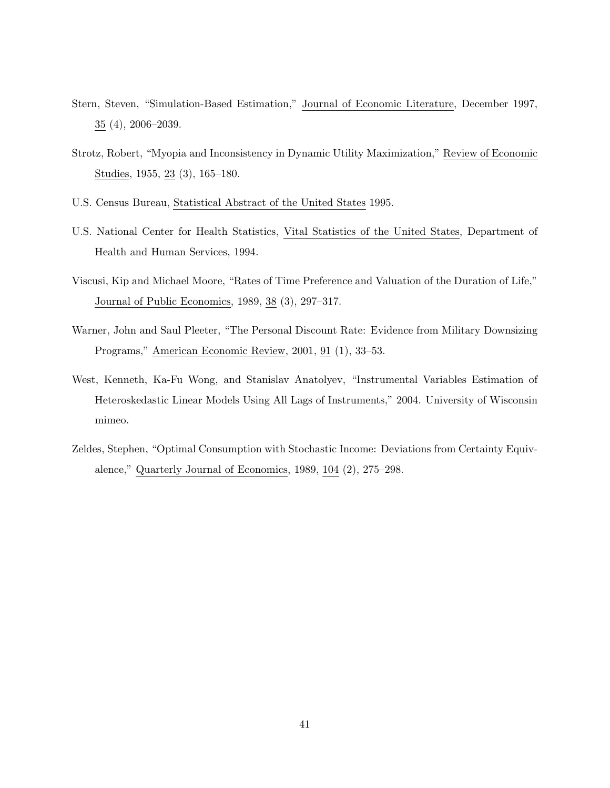- Stern, Steven, "Simulation-Based Estimation," Journal of Economic Literature, December 1997,  $35(4)$ , 2006–2039.
- Strotz, Robert, "Myopia and Inconsistency in Dynamic Utility Maximization," Review of Economic Studies, 1955, 23 (3), 165–180.
- U.S. Census Bureau, Statistical Abstract of the United States 1995.
- U.S. National Center for Health Statistics, Vital Statistics of the United States, Department of Health and Human Services, 1994.
- Viscusi, Kip and Michael Moore, "Rates of Time Preference and Valuation of the Duration of Life," Journal of Public Economics,  $1989, 38$  (3),  $297-317$ .
- Warner, John and Saul Pleeter, "The Personal Discount Rate: Evidence from Military Downsizing Programs," American Economic Review, 2001, 91 (1), 33-53.
- West, Kenneth, Ka-Fu Wong, and Stanislav Anatolyev, "Instrumental Variables Estimation of Heteroskedastic Linear Models Using All Lags of Instruments," 2004. University of Wisconsin mimeo.
- Zeldes, Stephen, "Optimal Consumption with Stochastic Income: Deviations from Certainty Equivalence," Quarterly Journal of Economics, 1989, 104  $(2)$ , 275-298.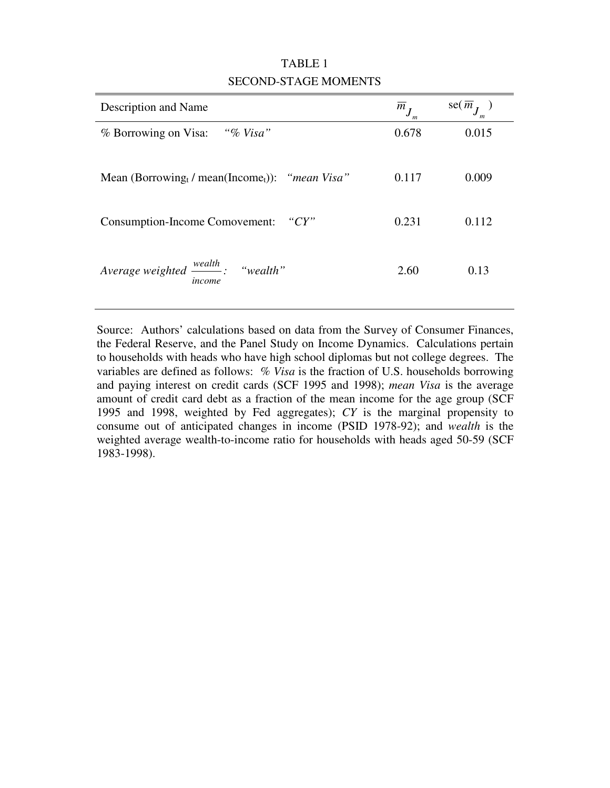| Description and Name                                                 | $m_I$ | se(m) |
|----------------------------------------------------------------------|-------|-------|
| "% Visa"<br>% Borrowing on Visa:                                     | 0.678 | 0.015 |
| Mean (Borrowing, / mean(Income <sub>t</sub> )): " <i>mean Visa</i> " | 0.117 | 0.009 |
| <b>Consumption-Income Comovement:</b><br>" $CY"$                     | 0.231 | 0.112 |
| Average weighted $\frac{wealth}{}$ : "wealth"<br>income              | 2.60  | 0.13  |

## TABLE 1 SECOND-STAGE MOMENTS

Source: Authors' calculations based on data from the Survey of Consumer Finances, the Federal Reserve, and the Panel Study on Income Dynamics. Calculations pertain to households with heads who have high school diplomas but not college degrees. The variables are defined as follows: *% Visa* is the fraction of U.S. households borrowing and paying interest on credit cards (SCF 1995 and 1998); *mean Visa* is the average amount of credit card debt as a fraction of the mean income for the age group (SCF 1995 and 1998, weighted by Fed aggregates); *CY* is the marginal propensity to consume out of anticipated changes in income (PSID 1978-92); and *wealth* is the weighted average wealth-to-income ratio for households with heads aged 50-59 (SCF 1983-1998).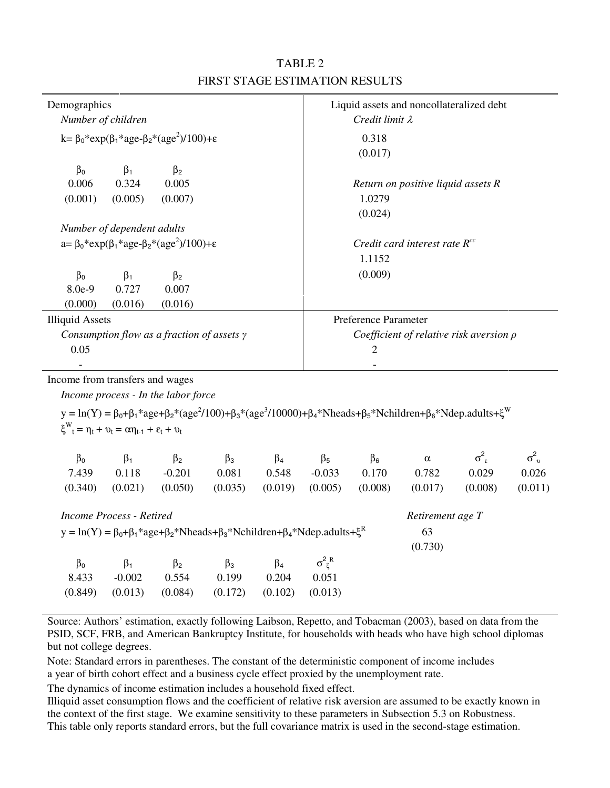| Demographics                                                                                                                                                      | Liquid assets and noncollateralized debt     |
|-------------------------------------------------------------------------------------------------------------------------------------------------------------------|----------------------------------------------|
| Number of children                                                                                                                                                | Credit limit $\lambda$                       |
| $k = \beta_0$ *exp( $\beta_1$ *age- $\beta_2$ *(age <sup>2</sup> )/100)+ $\varepsilon$                                                                            | 0.318<br>(0.017)                             |
| $\beta_0$<br>$\beta_2$<br>$\beta_1$                                                                                                                               |                                              |
| 0.006<br>0.324<br>0.005                                                                                                                                           | Return on positive liquid assets $R$         |
| (0.001)<br>(0.005)<br>(0.007)                                                                                                                                     | 1.0279                                       |
|                                                                                                                                                                   | (0.024)                                      |
| Number of dependent adults                                                                                                                                        |                                              |
| $a = \beta_0$ *exp( $\beta_1$ *age- $\beta_2$ *(age <sup>2</sup> )/100)+ $\varepsilon$                                                                            | Credit card interest rate $R^{cc}$           |
|                                                                                                                                                                   | 1.1152                                       |
| $\beta_0$<br>$\beta_2$<br>$\beta_1$                                                                                                                               | (0.009)                                      |
| $8.0e-9$<br>0.727<br>0.007                                                                                                                                        |                                              |
| (0.000)<br>(0.016)<br>(0.016)                                                                                                                                     |                                              |
| <b>Illiquid Assets</b>                                                                                                                                            | Preference Parameter                         |
| Consumption flow as a fraction of assets $\gamma$                                                                                                                 | Coefficient of relative risk aversion $\rho$ |
| 0.05                                                                                                                                                              | 2                                            |
|                                                                                                                                                                   |                                              |
| Income from transfers and wages                                                                                                                                   |                                              |
| Income process - In the labor force                                                                                                                               |                                              |
| y = ln(Y) = $\beta_0 + \beta_1 * age + \beta_2 * (age^2/100) + \beta_3 * (age^3/10000) + \beta_4 * Nheads + \beta_5 * Nchildren + \beta_6 * Ndep. adults + \xi^W$ |                                              |
| $\xi_{t}^{W} = \eta_{t} + \nu_{t} = \alpha \eta_{t-1} + \varepsilon_{t} + \nu_{t}$                                                                                |                                              |
|                                                                                                                                                                   |                                              |

# TABLE 2 FIRST STAGE ESTIMATION RESULTS

| $\beta_0$ | $\mathbf{B}_1$                | B <sub>2</sub> | $\beta_3$                               | $\mathbf{B}_4$ | $\beta_5$ | β <sub>6</sub> | $\alpha$            |       |         |
|-----------|-------------------------------|----------------|-----------------------------------------|----------------|-----------|----------------|---------------------|-------|---------|
| 7.439     | 0.118                         | $-0.201$       | 0.081 0.548                             |                | $-0.033$  | 0.170          | 0.782               | 0.029 | 0.026   |
|           | $(0.340)$ $(0.021)$ $(0.050)$ |                | $(0.035)$ $(0.019)$ $(0.005)$ $(0.008)$ |                |           |                | $(0.017)$ $(0.008)$ |       | (0.011) |

|           | Income Process - Retired |           |           |           |                                                                                                                                                                | Retirement age T |  |
|-----------|--------------------------|-----------|-----------|-----------|----------------------------------------------------------------------------------------------------------------------------------------------------------------|------------------|--|
|           |                          |           |           |           | y = ln(Y) = $\beta_0 + \beta_1$ <sup>*</sup> age+ $\beta_2$ <sup>*</sup> Nheads+ $\beta_3$ <sup>*</sup> Nchildren+ $\beta_4$ <sup>*</sup> Ndep.adults+ $\xi^R$ | 63               |  |
|           |                          |           |           |           |                                                                                                                                                                | (0.730)          |  |
| $\beta_0$ | $\beta_1$                | $\beta_2$ | $\beta_3$ | $\beta_4$ | $\sigma^2_{\mu}{}^R$                                                                                                                                           |                  |  |
| 8.433     | $-0.002$                 | 0.554     | 0.199     | 0.204     | 0.051                                                                                                                                                          |                  |  |
| (0.849)   | (0.013)                  | (0.084)   | (0.172)   | (0.102)   | (0.013)                                                                                                                                                        |                  |  |
|           |                          |           |           |           |                                                                                                                                                                |                  |  |

Source: Authors' estimation, exactly following Laibson, Repetto, and Tobacman (2003), based on data from the PSID, SCF, FRB, and American Bankruptcy Institute, for households with heads who have high school diplomas but not college degrees.

Note: Standard errors in parentheses. The constant of the deterministic component of income includes a year of birth cohort effect and a business cycle effect proxied by the unemployment rate.

The dynamics of income estimation includes a household fixed effect.

Illiquid asset consumption flows and the coefficient of relative risk aversion are assumed to be exactly known in the context of the first stage. We examine sensitivity to these parameters in Subsection 5.3 on Robustness. This table only reports standard errors, but the full covariance matrix is used in the second-stage estimation.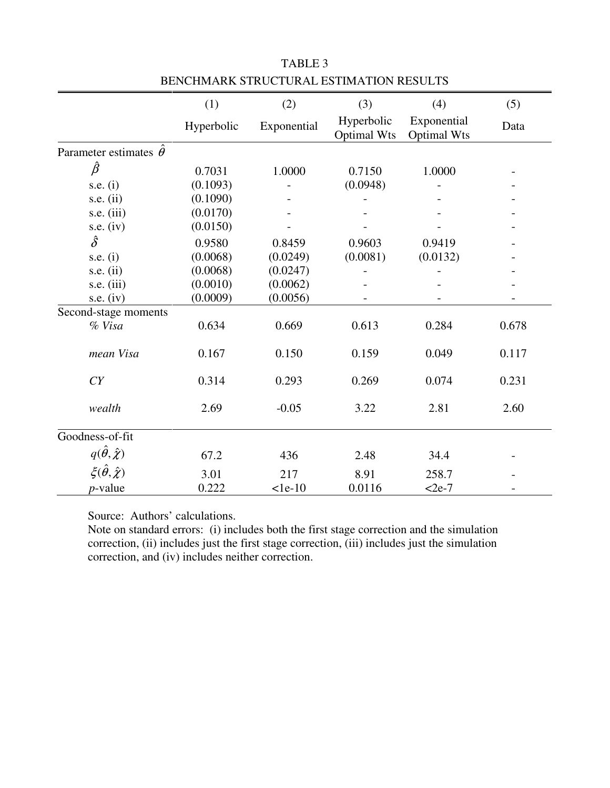|                                    | (1)        | (2)         | (3)                              | (4)                               | (5)   |
|------------------------------------|------------|-------------|----------------------------------|-----------------------------------|-------|
|                                    | Hyperbolic | Exponential | Hyperbolic<br><b>Optimal Wts</b> | Exponential<br><b>Optimal Wts</b> | Data  |
| Parameter estimates $\hat{\theta}$ |            |             |                                  |                                   |       |
| $\hat{\beta}$                      | 0.7031     | 1.0000      | 0.7150                           | 1.0000                            |       |
| s.e. $(i)$                         | (0.1093)   |             | (0.0948)                         |                                   |       |
| s.e. $(ii)$                        | (0.1090)   |             |                                  |                                   |       |
| s.e. $(iii)$                       | (0.0170)   |             |                                  |                                   |       |
| s.e. $(iv)$                        | (0.0150)   |             |                                  |                                   |       |
| $\hat{\delta}$                     | 0.9580     | 0.8459      | 0.9603                           | 0.9419                            |       |
| s.e. $(i)$                         | (0.0068)   | (0.0249)    | (0.0081)                         | (0.0132)                          |       |
| s.e. $(ii)$                        | (0.0068)   | (0.0247)    |                                  |                                   |       |
| s.e. $(iii)$                       | (0.0010)   | (0.0062)    |                                  |                                   |       |
| s.e. $(iv)$                        | (0.0009)   | (0.0056)    |                                  |                                   |       |
| Second-stage moments               |            |             |                                  |                                   |       |
| % Visa                             | 0.634      | 0.669       | 0.613                            | 0.284                             | 0.678 |
| mean Visa                          | 0.167      | 0.150       | 0.159                            | 0.049                             | 0.117 |
| CY                                 | 0.314      | 0.293       | 0.269                            | 0.074                             | 0.231 |
| wealth                             | 2.69       | $-0.05$     | 3.22                             | 2.81                              | 2.60  |
| Goodness-of-fit                    |            |             |                                  |                                   |       |
| $q(\hat{\theta}, \hat{\chi})$      | 67.2       | 436         | 2.48                             | 34.4                              |       |
| $\xi(\hat{\theta}, \hat{\chi})$    | 3.01       | 217         | 8.91                             | 258.7                             |       |
| $p$ -value                         | 0.222      | $1e-10$     | 0.0116                           | $<$ 2e-7                          |       |

TABLE 3 BENCHMARK STRUCTURAL ESTIMATION RESULTS

Source: Authors' calculations.

Note on standard errors: (i) includes both the first stage correction and the simulation correction, (ii) includes just the first stage correction, (iii) includes just the simulation correction, and (iv) includes neither correction.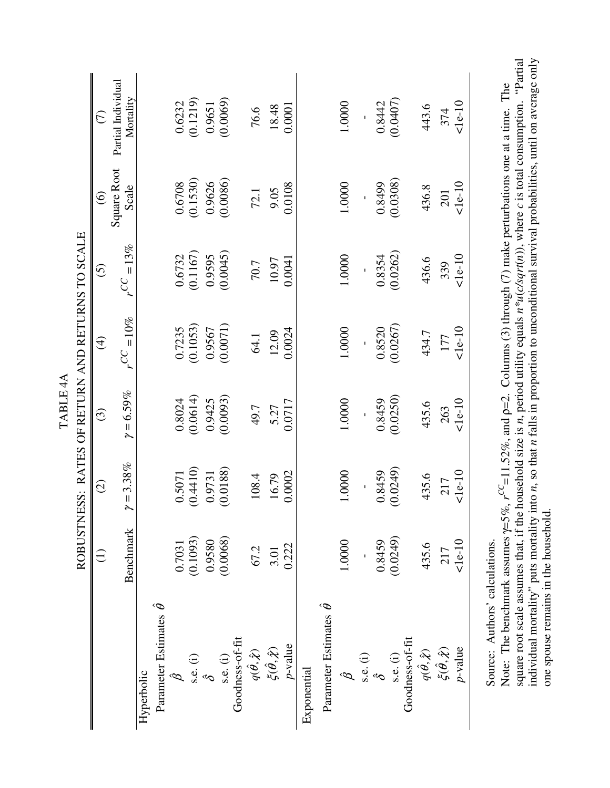|                                        |                 |                         | TABLE <sub>4A</sub>     |                                                  |                           |                         |                                                   |
|----------------------------------------|-----------------|-------------------------|-------------------------|--------------------------------------------------|---------------------------|-------------------------|---------------------------------------------------|
|                                        |                 |                         |                         | ROBUSTNESS: RATES OF RETURN AND RETURNS TO SCALE |                           |                         |                                                   |
|                                        | $\widehat{\Xi}$ | $\widehat{\odot}$       | $\odot$                 | $\bigoplus$                                      | $\odot$                   | $\circledcirc$          | E                                                 |
|                                        | Benchmark       | $\gamma = 3.38\%$       | $\gamma = 6.59\%$       | $r^{CC}=10\%$                                    | $=13%$<br>$C$ C           | Square Root<br>Scale    | Partial Individual<br>Mortality                   |
| Hyperbolic                             |                 |                         |                         |                                                  |                           |                         |                                                   |
| Parameter Estimates $\hat{\theta}$     |                 |                         |                         |                                                  |                           |                         |                                                   |
| $\beta$                                | 0.7031          |                         |                         | 0.7235                                           |                           | 0.6708                  |                                                   |
|                                        | (0.1093)        | $0.5071$<br>$(0.4410)$  | $0.8024$<br>$(0.0614)$  | (0.1053)                                         | $\frac{0.6732}{(0.1167)}$ | (0.1530)                | $\begin{array}{c} 0.6232 \\ (0.1219) \end{array}$ |
| s.e. (i)<br>$\hat{\delta}$             | 0.9580          | 0.9731                  | 0.9425                  | 0.9567                                           | 0.9595                    | 0.9626                  | 0.9651                                            |
| $s.e.$ (i)                             | (0.0068)        | (0.0188)                | (0.0093)                | (0.0071)                                         | (0.0045)                  | (0.0086)                | (0.0069)                                          |
| Goodness-of-fit                        |                 |                         |                         |                                                  |                           |                         |                                                   |
| $q(\hat{\theta}, \hat{\chi})$          | 67.2            | 108.4                   | 49.7                    | 64.1                                             | 70.7                      | 72.1                    | 76.6                                              |
| $\tilde{\xi}(\hat{\theta},\hat{\chi})$ | 3.01            | 16.79                   | 5.27                    | 12.09                                            | 10.97                     | 9.05                    | 18.48                                             |
| $p$ -value                             | 0.222           | 0.0002                  | 0.0717                  | 0.0024                                           | 0.0041                    | 0.0108                  | 0.0001                                            |
| Exponential                            |                 |                         |                         |                                                  |                           |                         |                                                   |
| Parameter Estimates $\hat{\theta}$     |                 |                         |                         |                                                  |                           |                         |                                                   |
| $\hat{\mathcal{B}}$                    | 1.0000          | 1.0000                  | 1.0000                  | 1.0000                                           | 1.0000                    | 1.0000                  | 1.0000                                            |
| s.e. (i)<br>$\hat{\delta}$             |                 |                         |                         |                                                  |                           |                         |                                                   |
|                                        | 0.8459          | $(0.8459$<br>$(0.0249)$ | $(0.8459$<br>$(0.0250)$ | $\frac{0.8520}{(0.0267)}$                        | $0.8354$<br>$(0.0262)$    |                         |                                                   |
| $s.e.$ (i)                             | (0.0249)        |                         |                         |                                                  |                           | $(0.8499$<br>$(0.0308)$ | $0.8442$<br>$(0.0407)$                            |
| Goodness-of-fit                        |                 |                         |                         |                                                  |                           |                         |                                                   |
| $q(\hat{\theta}, \hat{\chi})$          | 435.6           | 435.6                   | 435.6                   | 434.7                                            | 436.6                     | 436.8                   | 443.6                                             |
| $\zeta(\hat{\theta},\hat{\chi})$       | 217             | 217                     | 263                     | 177                                              | 339                       | 201                     | 374                                               |
| $p$ -value                             | $1e-10$         | $1e-10$                 | 10                      | $1e-10$                                          | $10$<br>$-10$             | $10$<br>$-10$           | $10$<br>$-10$                                     |
| Source: $\Delta$ uthors' calculations  |                 |                         |                         |                                                  |                           |                         |                                                   |

Source: Authors' calculations. Source: Authors calculations.

individual mortality" puts mortality into *n*, so that *n* falls in proportion to unconditional survival probabilities, until on average only square root scale assumes that, if the household size is n, period utility equals  $n^*u(c/sqrt(n))$ , where c is total consumption. "Partial square root scale assumes that, if the household size is *n*, period utility equals *n\*u*(*c/sqrt*(*n*)), where *c* is total consumption. "Partial individual mortality" puts mortality into n, so that n falls in proportion to unconditional survival probabilities, until on average only Note: The benchmark assumes  $\gamma = 5\%, r^{CC} = 11.52\%,$  and  $\rho = 2$ . Columns (3) through (7) make perturbations one at a time. The Note: The benchmark assumes  $\gamma = 5\%, r^{CC} = 11.52\%,$  and  $\rho = 2$ . Columns (3) through (7) make perturbations one at a time. The one spouse remains in the household. one spouse remains in the household.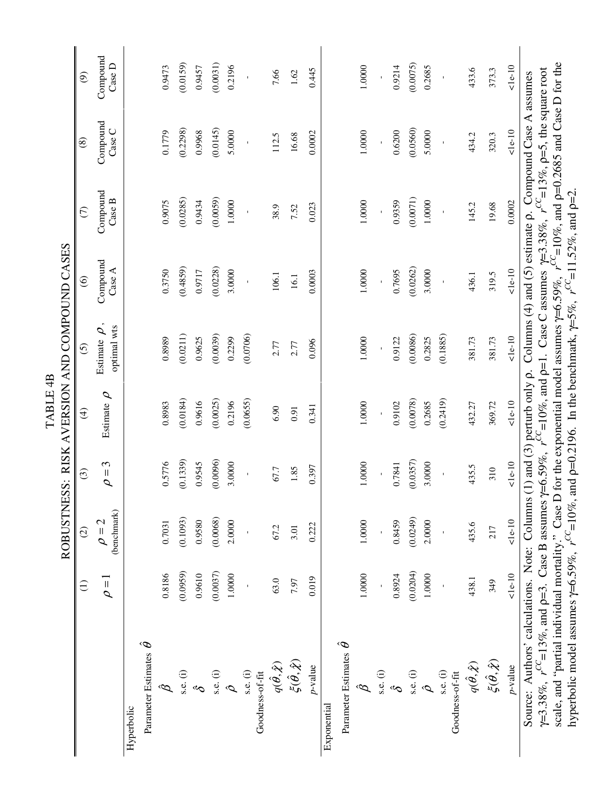|                                                                                                                                                                                                                                                                                                                                                                                              |                 |                           |            | TABLE <sub>4</sub> B | ROBUSTNESS: RISK AVERSION AND COMPOUND CASES |                    |                                                                                               |                    |                    |
|----------------------------------------------------------------------------------------------------------------------------------------------------------------------------------------------------------------------------------------------------------------------------------------------------------------------------------------------------------------------------------------------|-----------------|---------------------------|------------|----------------------|----------------------------------------------|--------------------|-----------------------------------------------------------------------------------------------|--------------------|--------------------|
|                                                                                                                                                                                                                                                                                                                                                                                              | $\widehat{\Xi}$ | $\widehat{\odot}$         | $\odot$    | $\bigoplus$          | $\odot$                                      | $\widehat{\circ}$  | $\widehat{C}$                                                                                 | $\circledast$      | $\odot$            |
|                                                                                                                                                                                                                                                                                                                                                                                              | $\rho = 1$      | (benchmark)<br>$\rho = 2$ | $\rho = 3$ | Estimate $\rho$      | optimal wts<br>Estimate $\rho$               | Compound<br>Case A | Compound<br>Case B                                                                            | Compound<br>Case C | Compound<br>Case D |
| Hyperbolic                                                                                                                                                                                                                                                                                                                                                                                   |                 |                           |            |                      |                                              |                    |                                                                                               |                    |                    |
| Parameter Estimates $\hat{\theta}$                                                                                                                                                                                                                                                                                                                                                           |                 |                           |            |                      |                                              |                    |                                                                                               |                    |                    |
| $\hat{\mathcal{B}}$                                                                                                                                                                                                                                                                                                                                                                          | 0.8186          | 0.7031                    | 0.5776     | 0.8983               | 0.8989                                       | 0.3750             | 0.9075                                                                                        | 0.1779             | 0.9473             |
| $s.e.$ (i)                                                                                                                                                                                                                                                                                                                                                                                   | (0.0959)        | (0.1093)                  | (0.1339)   | (0.0184)             | (0.0211)                                     | (0.4859)           | (0.0285)                                                                                      | (0.2298)           | (0.0159)           |
| $\hat{\mathcal{C}}$                                                                                                                                                                                                                                                                                                                                                                          | 0.9610          | 0.9580                    | 0.9545     | 0.9616               | 0.9625                                       | 0.9717             | 0.9434                                                                                        | 0.9968             | 0.9457             |
| $s.e.$ (i)                                                                                                                                                                                                                                                                                                                                                                                   | (0.0037)        | (0.0068)                  | (0.0096)   | (0.0025)             | (0.0039)                                     | (0.0228)           | (0.0059)                                                                                      | (0.0145)           | (0.0031)           |
| $\hat{\rho}$                                                                                                                                                                                                                                                                                                                                                                                 | 1.0000          | 2.0000                    | 3.0000     | 0.2196               | 0.2299                                       | 3.0000             | 1,0000                                                                                        | 5.0000             | 0.2196             |
| s.e. (i)                                                                                                                                                                                                                                                                                                                                                                                     |                 |                           |            | (0.0655)             | (0.0706)                                     |                    |                                                                                               |                    |                    |
| Goodness-of-fit                                                                                                                                                                                                                                                                                                                                                                              |                 |                           |            |                      |                                              |                    |                                                                                               |                    |                    |
| $q(\hat{\theta}, \hat{\chi})$                                                                                                                                                                                                                                                                                                                                                                | 63.0            | 67.2                      | 67.7       | 6.90                 | 2.77                                         | 106.1              | 38.9                                                                                          | 112.5              | 7.66               |
| $\xi(\hat{\theta}, \hat{\chi})$                                                                                                                                                                                                                                                                                                                                                              | 7.97            | 3.01                      | 1.85       | 0.91                 | 2.77                                         | 16.1               | 7.52                                                                                          | 16.68              | 1.62               |
| $p$ -value                                                                                                                                                                                                                                                                                                                                                                                   | 0.019           | 0.222                     | 0.397      | 0.341                | 0.096                                        | 0.0003             | 0.023                                                                                         | 0.0002             | 0.445              |
| Exponential                                                                                                                                                                                                                                                                                                                                                                                  |                 |                           |            |                      |                                              |                    |                                                                                               |                    |                    |
| Parameter Estimates $\hat{\theta}$                                                                                                                                                                                                                                                                                                                                                           |                 |                           |            |                      |                                              |                    |                                                                                               |                    |                    |
| B                                                                                                                                                                                                                                                                                                                                                                                            | 1.0000          | 1.0000                    | .0000      | 1.0000               | 1.0000                                       | 1.0000             | 1.0000                                                                                        | 1.0000             | 1.0000             |
| $s.e.$ (i)                                                                                                                                                                                                                                                                                                                                                                                   |                 |                           |            |                      |                                              |                    |                                                                                               |                    |                    |
| $\hat{\mathcal{C}}$                                                                                                                                                                                                                                                                                                                                                                          | 0.8924          | 0.8459                    | 0.7841     | 0.9102               | 0.9122                                       | 0.7695             | 0.9359                                                                                        | 0.6200             | 0.9214             |
| $s.e.$ (i)                                                                                                                                                                                                                                                                                                                                                                                   | (0.0204)        | (0.0249)                  | (0.0357)   | (0.0078)             | (0.0086)                                     | (0.0262)           | (0.0071)                                                                                      | (0.0560)           | (0.0075)           |
| $\hat{\mathcal{O}}$                                                                                                                                                                                                                                                                                                                                                                          | $1.0000\,$      | 2.0000                    | 3.0000     | 0.2685               | 0.2825                                       | 3.0000             | 1.0000                                                                                        | 5.0000             | 0.2685             |
| $s.e.$ (i)                                                                                                                                                                                                                                                                                                                                                                                   |                 |                           |            | (0.2419)             | (0.1885)                                     |                    | $\mathbf{I}$                                                                                  | $\mathbf{I}$       |                    |
| Goodness-of-fit                                                                                                                                                                                                                                                                                                                                                                              |                 |                           |            |                      |                                              |                    |                                                                                               |                    |                    |
| $q(\hat{\theta},\hat{\mathcal{X}})$                                                                                                                                                                                                                                                                                                                                                          | 438.1           | 435.6                     | 435.5      | 432.27               | 381.73                                       | 436.1              | 145.2                                                                                         | 434.2              | 433.6              |
| $\xi(\hat{\theta},\hat{\chi})$                                                                                                                                                                                                                                                                                                                                                               | 349             | 217                       | 310        | 369.72               | 381.73                                       | 319.5              | 19.68                                                                                         | 320.3              | 373.3              |
| $p$ -value                                                                                                                                                                                                                                                                                                                                                                                   | $10 - 10$       | $1e-10$                   | $1e-10$    | $1e-10$              | 10                                           | 10                 | 0.0002                                                                                        | 10                 | $1e-10$            |
| scale, and "partial individual mortality." Case D for the exponential model assumes $\gamma=6.59\%$ , $r^{\text{CC}}=10\%$ , and $\rho=0.2685$ and Case D for the<br>$\gamma$ =3.38%, $r^{CC}$ =13%, and p=3. Case B assumes $\gamma$ =6.59%, $r^{CC}$ =10%, and p=1. Case C assumes $\gamma$ =3.38%, $r^{CC}$ =13%, p=5, the square root<br>Source: Authors' calculations. Note: Columns (1 |                 |                           |            |                      |                                              |                    | ) and (3) perturb only $\rho$ . Columns (4) and (5) estimate $\rho$ . Compound Case A assumes |                    |                    |
| hyperbolic model assumes $\gamma=6.59\%$ , $r^{CC}=10\%$ , and $\rho=0.2196$ . In the benchmark, $\gamma=5\%$ , $r^{CC}=11.52\%$ , and $\rho=2$ .                                                                                                                                                                                                                                            |                 |                           |            |                      |                                              |                    |                                                                                               |                    |                    |
|                                                                                                                                                                                                                                                                                                                                                                                              |                 |                           |            |                      |                                              |                    |                                                                                               |                    |                    |
|                                                                                                                                                                                                                                                                                                                                                                                              |                 |                           |            |                      |                                              |                    |                                                                                               |                    |                    |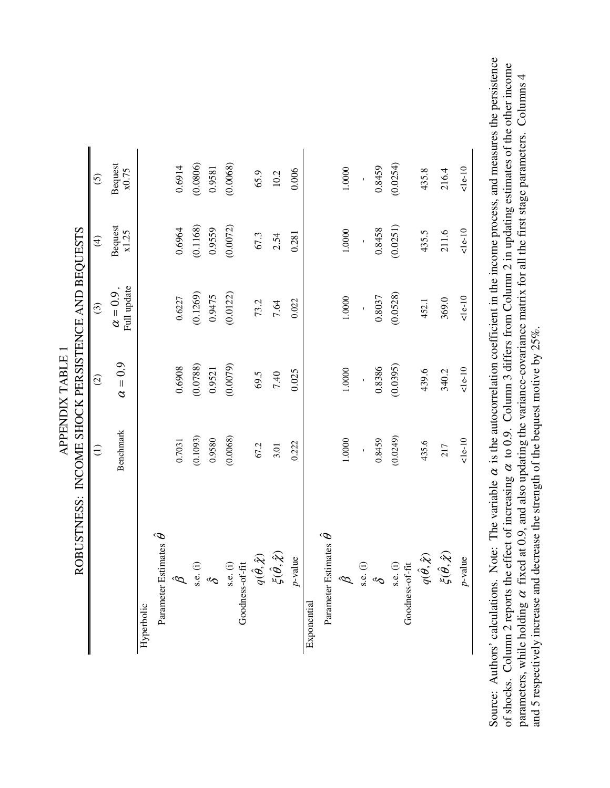|                                         | ROBUSTNESS: INCOME SHOCK PERSISTENCE AND BEQUESTS |                |                                 |                         |                  |
|-----------------------------------------|---------------------------------------------------|----------------|---------------------------------|-------------------------|------------------|
|                                         | $\widehat{\exists}$                               | $\widehat{O}$  | $\odot$                         | $\widehat{\mathcal{F}}$ | $\odot$          |
|                                         | Benchmark                                         | $\alpha = 0.9$ | Full update<br>$\alpha = 0.9$ , | <b>Bequest</b><br>x1.25 | Bequest<br>x0.75 |
| Hyperbolic                              |                                                   |                |                                 |                         |                  |
| Estimates $\hat{\theta}$<br>Parameter   |                                                   |                |                                 |                         |                  |
| ĝ                                       | 0.7031                                            | 0.6908         | 0.6227                          | 0.6964                  | 0.6914           |
|                                         | (0.1093)                                          | (0.0788)       | (0.1269)                        | (0.1168)                | (0.0806)         |
| $s.e.$ (i)<br>$\delta$                  | 0.9580                                            | 0.9521         | 0.9475                          | 0.9559                  | 0.9581           |
| s.e. (i)<br>Goodness-of-fit             | (0.0068)                                          | (0.0079)       | (0.0122)                        | (0.0072)                | (0.0068)         |
|                                         |                                                   |                |                                 |                         |                  |
| $q(\hat{\theta}, \hat{\chi})$           | 67.2                                              | 69.5           | 73.2                            | 67.3                    | 65.9             |
| $\xi(\hat{\theta}, \hat{\chi})$         | 3.01                                              | 7.40           | 7.64                            | 2.54                    | 10.2             |
| $p$ -value                              | 0.222                                             | 0.025          | 0.022                           | 0.281                   | 0.006            |
| Exponential                             |                                                   |                |                                 |                         |                  |
| Estimates $\hat{\theta}$<br>Parameter 1 |                                                   |                |                                 |                         |                  |
| $\hat{\mathcal{B}}$                     | 1.0000                                            | 1.0000         | 1.0000                          | 1.0000                  | 1.0000           |
|                                         |                                                   | $\bar{1}$      | $\mathbf{r}$                    |                         | $\mathbf{r}$     |
| $rac{1}{\delta}$                        | 0.8459                                            | 0.8386         | 0.8037                          | 0.8458                  | 0.8459           |
| Goodness-of-fit<br>$s.e.$ (i)           | (0.0249)                                          | (0.0395)       | (0.0528)                        | (0.0251)                | (0.0254)         |
| $q(\hat{\theta}, \hat{\chi})$           | 435.6                                             | 439.6          | 452.1                           | 435.5                   | 435.8            |
| $\check{\xi}(\hat{\theta},\hat{\chi})$  | 217                                               | 340.2          | 369.0                           | 211.6                   | 216.4            |
| $p$ -value                              | 10                                                | 10             | 10                              | $1e-10$                 | 10               |

Source: Authors' calculations. Note: The variable  $\alpha$  is the autocorrelation coefficient in the income process, and measures the persistence Source: Authors' calculations. Note: The variable  $\alpha$  is the autocorrelation coefficient in the income process, and measures the persistence Source of shocks. Column 2 reports the effect of increasing  $\alpha$  to 0.9. Column 3 differs from Column 2 in updating estimates of the other income of shocks. Column 2 reports the effect of increasing α to 0.9. Column 3 differs from Column 2 in updating estimates of the other income parameters, while holding  $\alpha$  fixed at 0.9, and also updating the variance-covariance matrix for all the first stage parameters. Columns 4 parameters, while holding α fixed at 0.9, and also updating the variance-covariance matrix for all the first stage parameters. Columns 4 and 5 respectively increase and decrease the strength of the bequest motive by 25%. and 5 respectively increase and decrease the strength of the bequest motive by 25%.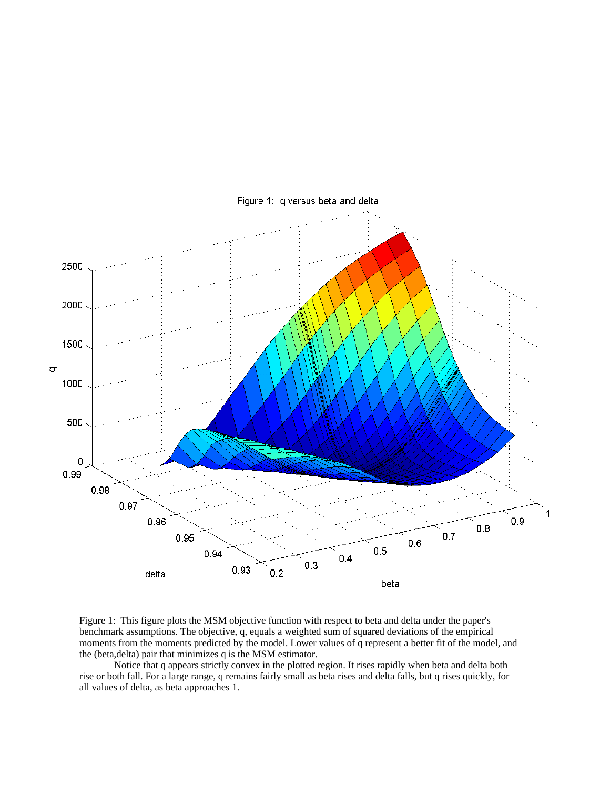

Figure 1: q versus beta and delta

Figure 1: This figure plots the MSM objective function with respect to beta and delta under the paper's benchmark assumptions. The objective, q, equals a weighted sum of squared deviations of the empirical moments from the moments predicted by the model. Lower values of q represent a better fit of the model, and the (beta, delta) pair that minimizes q is the MSM estimator.

Notice that q appears strictly convex in the plotted region. It rises rapidly when beta and delta both rise or both fall. For a large range, q remains fairly small as beta rises and delta falls, but q rises quickly, for all values of delta, as beta approaches 1.